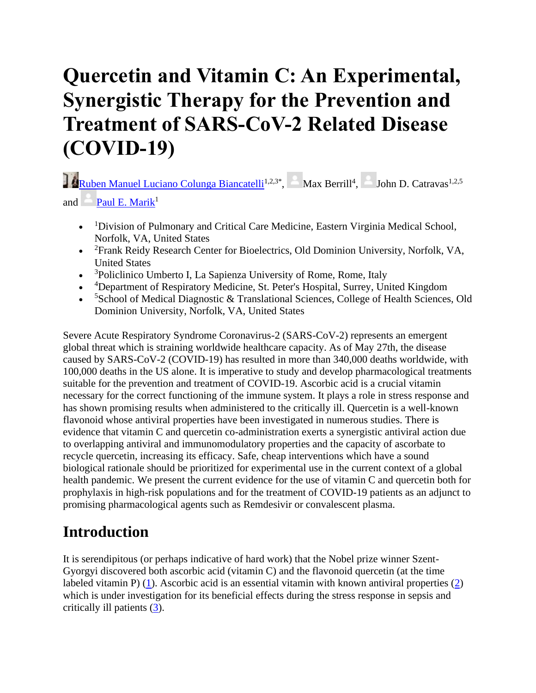# **Quercetin and Vitamin C: An Experimental, Synergistic Therapy for the Prevention and Treatment of SARS-CoV-2 Related Disease (COVID-19)**

[Ruben Manuel Luciano Colunga Biancatelli](https://www.frontiersin.org/people/u/949378)<sup>1,2,3\*</sup>,  $\blacksquare$  Max Berrill<sup>4</sup>,  $\blacksquare$  John D. Catravas<sup>1,2,5</sup> and Paul E. Mari $k^1$ 

- <sup>1</sup>Division of Pulmonary and Critical Care Medicine, Eastern Virginia Medical School, Norfolk, VA, United States
- <sup>2</sup> Frank Reidy Research Center for Bioelectrics, Old Dominion University, Norfolk, VA, United States
- <sup>3</sup>Policlinico Umberto I, La Sapienza University of Rome, Rome, Italy
- <sup>4</sup>Department of Respiratory Medicine, St. Peter's Hospital, Surrey, United Kingdom
- <sup>5</sup>School of Medical Diagnostic & Translational Sciences, College of Health Sciences, Old Dominion University, Norfolk, VA, United States

Severe Acute Respiratory Syndrome Coronavirus-2 (SARS-CoV-2) represents an emergent global threat which is straining worldwide healthcare capacity. As of May 27th, the disease caused by SARS-CoV-2 (COVID-19) has resulted in more than 340,000 deaths worldwide, with 100,000 deaths in the US alone. It is imperative to study and develop pharmacological treatments suitable for the prevention and treatment of COVID-19. Ascorbic acid is a crucial vitamin necessary for the correct functioning of the immune system. It plays a role in stress response and has shown promising results when administered to the critically ill. Quercetin is a well-known flavonoid whose antiviral properties have been investigated in numerous studies. There is evidence that vitamin C and quercetin co-administration exerts a synergistic antiviral action due to overlapping antiviral and immunomodulatory properties and the capacity of ascorbate to recycle quercetin, increasing its efficacy. Safe, cheap interventions which have a sound biological rationale should be prioritized for experimental use in the current context of a global health pandemic. We present the current evidence for the use of vitamin C and quercetin both for prophylaxis in high-risk populations and for the treatment of COVID-19 patients as an adjunct to promising pharmacological agents such as Remdesivir or convalescent plasma.

## **Introduction**

It is serendipitous (or perhaps indicative of hard work) that the Nobel prize winner Szent-Gyorgyi discovered both ascorbic acid (vitamin C) and the flavonoid quercetin (at the time labeled vitamin P) [\(1\)](https://www.frontiersin.org/articles/10.3389/fimmu.2020.01451/full#B1). Ascorbic acid is an essential vitamin with known antiviral properties [\(2\)](https://www.frontiersin.org/articles/10.3389/fimmu.2020.01451/full#B2) which is under investigation for its beneficial effects during the stress response in sepsis and critically ill patients [\(3\)](https://www.frontiersin.org/articles/10.3389/fimmu.2020.01451/full#B3).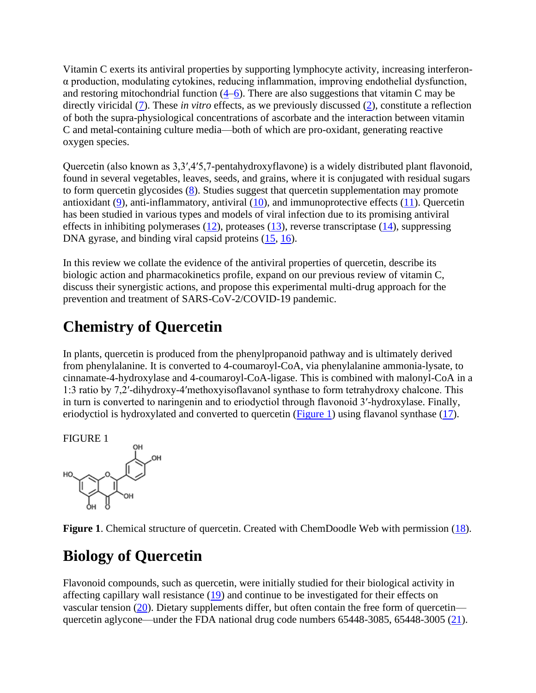Vitamin C exerts its antiviral properties by supporting lymphocyte activity, increasing interferonα production, modulating cytokines, reducing inflammation, improving endothelial dysfunction, and restoring mitochondrial function  $(4–6)$  $(4–6)$ . There are also suggestions that vitamin C may be directly viricidal [\(7\)](https://www.frontiersin.org/articles/10.3389/fimmu.2020.01451/full#B7). These *in vitro* effects, as we previously discussed [\(2\)](https://www.frontiersin.org/articles/10.3389/fimmu.2020.01451/full#B2), constitute a reflection of both the supra-physiological concentrations of ascorbate and the interaction between vitamin C and metal-containing culture media—both of which are pro-oxidant, generating reactive oxygen species.

Quercetin (also known as 3,3′,4′5,7-pentahydroxyflavone) is a widely distributed plant flavonoid, found in several vegetables, leaves, seeds, and grains, where it is conjugated with residual sugars to form quercetin glycosides [\(8\)](https://www.frontiersin.org/articles/10.3389/fimmu.2020.01451/full#B8). Studies suggest that quercetin supplementation may promote antioxidant [\(9\)](https://www.frontiersin.org/articles/10.3389/fimmu.2020.01451/full#B9), anti-inflammatory, antiviral [\(10\)](https://www.frontiersin.org/articles/10.3389/fimmu.2020.01451/full#B10), and immunoprotective effects [\(11\)](https://www.frontiersin.org/articles/10.3389/fimmu.2020.01451/full#B11). Quercetin has been studied in various types and models of viral infection due to its promising antiviral effects in inhibiting polymerases  $(12)$ , proteases  $(13)$ , reverse transcriptase  $(14)$ , suppressing DNA gyrase, and binding viral capsid proteins  $(15, 16)$  $(15, 16)$ .

In this review we collate the evidence of the antiviral properties of quercetin, describe its biologic action and pharmacokinetics profile, expand on our previous review of vitamin C, discuss their synergistic actions, and propose this experimental multi-drug approach for the prevention and treatment of SARS-CoV-2/COVID-19 pandemic.

## **Chemistry of Quercetin**

In plants, quercetin is produced from the phenylpropanoid pathway and is ultimately derived from phenylalanine. It is converted to 4-coumaroyl-CoA, via phenylalanine ammonia-lysate, to cinnamate-4-hydroxylase and 4-coumaroyl-CoA-ligase. This is combined with malonyl-CoA in a 1:3 ratio by 7,2′-dihydroxy-4′methoxyisoflavanol synthase to form tetrahydroxy chalcone. This in turn is converted to naringenin and to eriodyctiol through flavonoid 3′-hydroxylase. Finally, eriodyctiol is hydroxylated and converted to quercetin [\(Figure 1\)](https://www.frontiersin.org/articles/10.3389/fimmu.2020.01451/full#F1) using flavanol synthase [\(17\)](https://www.frontiersin.org/articles/10.3389/fimmu.2020.01451/full#B17).

FIGURE 1



**Figure 1.** Chemical structure of quercetin. Created with ChemDoodle Web with permission [\(18\)](https://www.frontiersin.org/articles/10.3389/fimmu.2020.01451/full#B18).

## **Biology of Quercetin**

Flavonoid compounds, such as quercetin, were initially studied for their biological activity in affecting capillary wall resistance [\(19\)](https://www.frontiersin.org/articles/10.3389/fimmu.2020.01451/full#B19) and continue to be investigated for their effects on vascular tension [\(20\)](https://www.frontiersin.org/articles/10.3389/fimmu.2020.01451/full#B20). Dietary supplements differ, but often contain the free form of quercetin— quercetin aglycone—under the FDA national drug code numbers 65448-3085, 65448-3005 [\(21\)](https://www.frontiersin.org/articles/10.3389/fimmu.2020.01451/full#B21).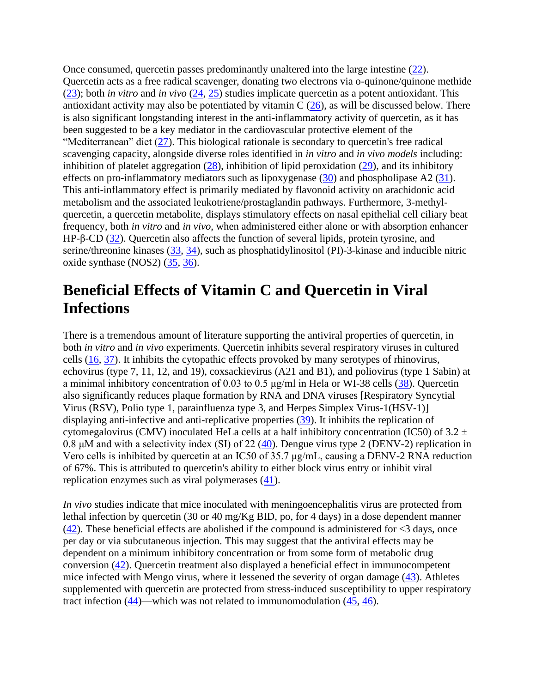Once consumed, quercetin passes predominantly unaltered into the large intestine [\(22\)](https://www.frontiersin.org/articles/10.3389/fimmu.2020.01451/full#B22). Quercetin acts as a free radical scavenger, donating two electrons via o-quinone/quinone methide [\(23\)](https://www.frontiersin.org/articles/10.3389/fimmu.2020.01451/full#B23); both *in vitro* and *in vivo* [\(24,](https://www.frontiersin.org/articles/10.3389/fimmu.2020.01451/full#B24) [25\)](https://www.frontiersin.org/articles/10.3389/fimmu.2020.01451/full#B25) studies implicate quercetin as a potent antioxidant. This antioxidant activity may also be potentiated by vitamin  $C(26)$  $C(26)$ , as will be discussed below. There is also significant longstanding interest in the anti-inflammatory activity of quercetin, as it has been suggested to be a key mediator in the cardiovascular protective element of the "Mediterranean" diet [\(27\)](https://www.frontiersin.org/articles/10.3389/fimmu.2020.01451/full#B27). This biological rationale is secondary to quercetin's free radical scavenging capacity, alongside diverse roles identified in *in vitro* and *in vivo models* including: inhibition of platelet aggregation  $(28)$ , inhibition of lipid peroxidation  $(29)$ , and its inhibitory effects on pro-inflammatory mediators such as lipoxygenase  $(30)$  and phospholipase A2  $(31)$ . This anti-inflammatory effect is primarily mediated by flavonoid activity on arachidonic acid metabolism and the associated leukotriene/prostaglandin pathways. Furthermore, 3-methylquercetin, a quercetin metabolite, displays stimulatory effects on nasal epithelial cell ciliary beat frequency, both *in vitro* and *in vivo*, when administered either alone or with absorption enhancer HP-β-CD [\(32\)](https://www.frontiersin.org/articles/10.3389/fimmu.2020.01451/full#B32). Quercetin also affects the function of several lipids, protein tyrosine, and serine/threonine kinases [\(33,](https://www.frontiersin.org/articles/10.3389/fimmu.2020.01451/full#B33) [34\)](https://www.frontiersin.org/articles/10.3389/fimmu.2020.01451/full#B34), such as phosphatidylinositol (PI)-3-kinase and inducible nitric oxide synthase (NOS2) [\(35,](https://www.frontiersin.org/articles/10.3389/fimmu.2020.01451/full#B35) [36\)](https://www.frontiersin.org/articles/10.3389/fimmu.2020.01451/full#B36).

#### **Beneficial Effects of Vitamin C and Quercetin in Viral Infections**

There is a tremendous amount of literature supporting the antiviral properties of quercetin, in both *in vitro* and *in vivo* experiments. Quercetin inhibits several respiratory viruses in cultured cells [\(16,](https://www.frontiersin.org/articles/10.3389/fimmu.2020.01451/full#B16) [37\)](https://www.frontiersin.org/articles/10.3389/fimmu.2020.01451/full#B37). It inhibits the cytopathic effects provoked by many serotypes of rhinovirus, echovirus (type 7, 11, 12, and 19), coxsackievirus (A21 and B1), and poliovirus (type 1 Sabin) at a minimal inhibitory concentration of 0.03 to 0.5  $\mu$ g/ml in Hela or WI-38 cells [\(38\)](https://www.frontiersin.org/articles/10.3389/fimmu.2020.01451/full#B38). Quercetin also significantly reduces plaque formation by RNA and DNA viruses [Respiratory Syncytial Virus (RSV), Polio type 1, parainfluenza type 3, and Herpes Simplex Virus-1(HSV-1)] displaying anti-infective and anti-replicative properties [\(39\)](https://www.frontiersin.org/articles/10.3389/fimmu.2020.01451/full#B39). It inhibits the replication of cytomegalovirus (CMV) inoculated HeLa cells at a half inhibitory concentration (IC50) of  $3.2 \pm$ 0.8 μM and with a selectivity index (SI) of 22 [\(40\)](https://www.frontiersin.org/articles/10.3389/fimmu.2020.01451/full#B40). Dengue virus type 2 (DENV-2) replication in Vero cells is inhibited by quercetin at an IC50 of 35.7 μg/mL, causing a DENV-2 RNA reduction of 67%. This is attributed to quercetin's ability to either block virus entry or inhibit viral replication enzymes such as viral polymerases [\(41\)](https://www.frontiersin.org/articles/10.3389/fimmu.2020.01451/full#B41).

*In vivo* studies indicate that mice inoculated with meningoencephalitis virus are protected from lethal infection by quercetin (30 or 40 mg/Kg BID, po, for 4 days) in a dose dependent manner  $(42)$ . These beneficial effects are abolished if the compound is administered for  $\leq$ 3 days, once per day or via subcutaneous injection. This may suggest that the antiviral effects may be dependent on a minimum inhibitory concentration or from some form of metabolic drug conversion [\(42\)](https://www.frontiersin.org/articles/10.3389/fimmu.2020.01451/full#B42). Quercetin treatment also displayed a beneficial effect in immunocompetent mice infected with Mengo virus, where it lessened the severity of organ damage [\(43\)](https://www.frontiersin.org/articles/10.3389/fimmu.2020.01451/full#B43). Athletes supplemented with quercetin are protected from stress-induced susceptibility to upper respiratory tract infection [\(44\)](https://www.frontiersin.org/articles/10.3389/fimmu.2020.01451/full#B44)—which was not related to immunomodulation [\(45,](https://www.frontiersin.org/articles/10.3389/fimmu.2020.01451/full#B45) [46\)](https://www.frontiersin.org/articles/10.3389/fimmu.2020.01451/full#B46).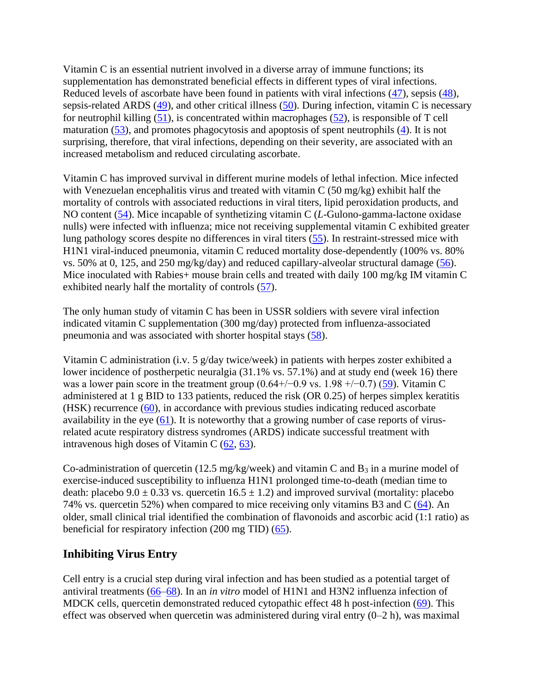Vitamin C is an essential nutrient involved in a diverse array of immune functions; its supplementation has demonstrated beneficial effects in different types of viral infections. Reduced levels of ascorbate have been found in patients with viral infections [\(47\)](https://www.frontiersin.org/articles/10.3389/fimmu.2020.01451/full#B47), sepsis [\(48\)](https://www.frontiersin.org/articles/10.3389/fimmu.2020.01451/full#B48), sepsis-related ARDS [\(49\)](https://www.frontiersin.org/articles/10.3389/fimmu.2020.01451/full#B49), and other critical illness [\(50\)](https://www.frontiersin.org/articles/10.3389/fimmu.2020.01451/full#B50). During infection, vitamin C is necessary for neutrophil killing  $(51)$ , is concentrated within macrophages  $(52)$ , is responsible of T cell maturation  $(53)$ , and promotes phagocytosis and apoptosis of spent neutrophils  $(4)$ . It is not surprising, therefore, that viral infections, depending on their severity, are associated with an increased metabolism and reduced circulating ascorbate.

Vitamin C has improved survival in different murine models of lethal infection. Mice infected with Venezuelan encephalitis virus and treated with vitamin C (50 mg/kg) exhibit half the mortality of controls with associated reductions in viral titers, lipid peroxidation products, and NO content [\(54\)](https://www.frontiersin.org/articles/10.3389/fimmu.2020.01451/full#B54). Mice incapable of synthetizing vitamin C (*L*-Gulono-gamma-lactone oxidase nulls) were infected with influenza; mice not receiving supplemental vitamin C exhibited greater lung pathology scores despite no differences in viral titers [\(55\)](https://www.frontiersin.org/articles/10.3389/fimmu.2020.01451/full#B55). In restraint-stressed mice with H1N1 viral-induced pneumonia, vitamin C reduced mortality dose-dependently (100% vs. 80% vs. 50% at 0, 125, and 250 mg/kg/day) and reduced capillary-alveolar structural damage [\(56\)](https://www.frontiersin.org/articles/10.3389/fimmu.2020.01451/full#B56). Mice inoculated with Rabies+ mouse brain cells and treated with daily 100 mg/kg IM vitamin C exhibited nearly half the mortality of controls [\(57\)](https://www.frontiersin.org/articles/10.3389/fimmu.2020.01451/full#B57).

The only human study of vitamin C has been in USSR soldiers with severe viral infection indicated vitamin C supplementation (300 mg/day) protected from influenza-associated pneumonia and was associated with shorter hospital stays [\(58\)](https://www.frontiersin.org/articles/10.3389/fimmu.2020.01451/full#B58).

Vitamin C administration (i.v. 5 g/day twice/week) in patients with herpes zoster exhibited a lower incidence of postherpetic neuralgia (31.1% vs. 57.1%) and at study end (week 16) there was a lower pain score in the treatment group  $(0.64+\prime-0.9 \text{ vs. } 1.98 +\prime-0.7)$  [\(59\)](https://www.frontiersin.org/articles/10.3389/fimmu.2020.01451/full#B59). Vitamin C administered at 1 g BID to 133 patients, reduced the risk (OR 0.25) of herpes simplex keratitis (HSK) recurrence [\(60\)](https://www.frontiersin.org/articles/10.3389/fimmu.2020.01451/full#B60), in accordance with previous studies indicating reduced ascorbate availability in the eye  $(61)$ . It is noteworthy that a growing number of case reports of virusrelated acute respiratory distress syndromes (ARDS) indicate successful treatment with intravenous high doses of Vitamin C [\(62,](https://www.frontiersin.org/articles/10.3389/fimmu.2020.01451/full#B62) [63\)](https://www.frontiersin.org/articles/10.3389/fimmu.2020.01451/full#B63).

Co-administration of quercetin (12.5 mg/kg/week) and vitamin C and  $B_3$  in a murine model of exercise-induced susceptibility to influenza H1N1 prolonged time-to-death (median time to death: placebo  $9.0 \pm 0.33$  vs. quercetin  $16.5 \pm 1.2$ ) and improved survival (mortality: placebo 74% vs. quercetin 52%) when compared to mice receiving only vitamins B3 and C [\(64\)](https://www.frontiersin.org/articles/10.3389/fimmu.2020.01451/full#B64). An older, small clinical trial identified the combination of flavonoids and ascorbic acid (1:1 ratio) as beneficial for respiratory infection (200 mg TID) [\(65\)](https://www.frontiersin.org/articles/10.3389/fimmu.2020.01451/full#B65).

#### **Inhibiting Virus Entry**

Cell entry is a crucial step during viral infection and has been studied as a potential target of antiviral treatments [\(66–](https://www.frontiersin.org/articles/10.3389/fimmu.2020.01451/full#B66)[68\)](https://www.frontiersin.org/articles/10.3389/fimmu.2020.01451/full#B68). In an *in vitro* model of H1N1 and H3N2 influenza infection of MDCK cells, quercetin demonstrated reduced cytopathic effect 48 h post-infection [\(69\)](https://www.frontiersin.org/articles/10.3389/fimmu.2020.01451/full#B69). This effect was observed when quercetin was administered during viral entry  $(0-2 h)$ , was maximal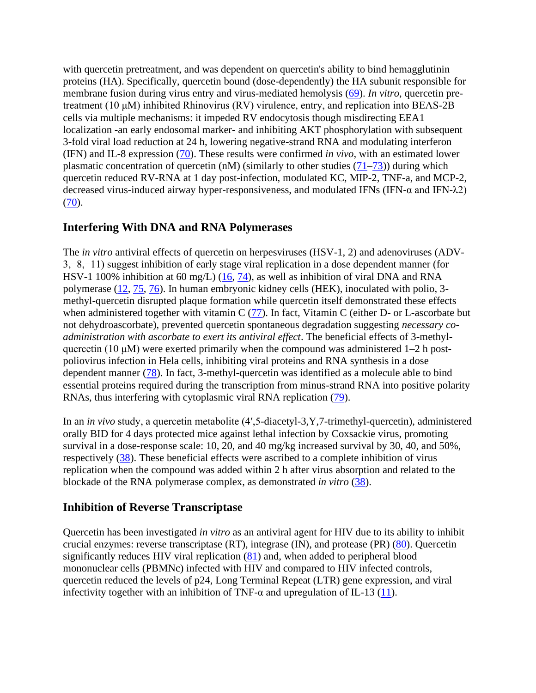with quercetin pretreatment, and was dependent on quercetin's ability to bind hemagglutinin proteins (HA). Specifically, quercetin bound (dose-dependently) the HA subunit responsible for membrane fusion during virus entry and virus-mediated hemolysis [\(69\)](https://www.frontiersin.org/articles/10.3389/fimmu.2020.01451/full#B69). *In vitro*, quercetin pretreatment (10 μM) inhibited Rhinovirus (RV) virulence, entry, and replication into BEAS-2B cells via multiple mechanisms: it impeded RV endocytosis though misdirecting EEA1 localization -an early endosomal marker- and inhibiting AKT phosphorylation with subsequent 3-fold viral load reduction at 24 h, lowering negative-strand RNA and modulating interferon (IFN) and IL-8 expression [\(70\)](https://www.frontiersin.org/articles/10.3389/fimmu.2020.01451/full#B70). These results were confirmed *in vivo*, with an estimated lower plasmatic concentration of quercetin (nM) (similarly to other studies  $(71–73)$  $(71–73)$ ) during which quercetin reduced RV-RNA at 1 day post-infection, modulated KC, MIP-2, TNF-a, and MCP-2, decreased virus-induced airway hyper-responsiveness, and modulated IFNs (IFN-α and IFN-λ2)  $(70).$  $(70).$ 

#### **Interfering With DNA and RNA Polymerases**

The *in vitro* antiviral effects of quercetin on herpesviruses (HSV-1, 2) and adenoviruses (ADV-3,−8,−11) suggest inhibition of early stage viral replication in a dose dependent manner (for HSV-1 100% inhibition at 60 mg/L) [\(16,](https://www.frontiersin.org/articles/10.3389/fimmu.2020.01451/full#B16) [74\)](https://www.frontiersin.org/articles/10.3389/fimmu.2020.01451/full#B74), as well as inhibition of viral DNA and RNA polymerase [\(12,](https://www.frontiersin.org/articles/10.3389/fimmu.2020.01451/full#B12) [75,](https://www.frontiersin.org/articles/10.3389/fimmu.2020.01451/full#B75) [76\)](https://www.frontiersin.org/articles/10.3389/fimmu.2020.01451/full#B76). In human embryonic kidney cells (HEK), inoculated with polio, 3 methyl-quercetin disrupted plaque formation while quercetin itself demonstrated these effects when administered together with vitamin C  $(77)$ . In fact, Vitamin C (either D- or L-ascorbate but not dehydroascorbate), prevented quercetin spontaneous degradation suggesting *necessary coadministration with ascorbate to exert its antiviral effect*. The beneficial effects of 3-methylquercetin (10  $\mu$ M) were exerted primarily when the compound was administered 1–2 h postpoliovirus infection in Hela cells, inhibiting viral proteins and RNA synthesis in a dose dependent manner [\(78\)](https://www.frontiersin.org/articles/10.3389/fimmu.2020.01451/full#B78). In fact, 3-methyl-quercetin was identified as a molecule able to bind essential proteins required during the transcription from minus-strand RNA into positive polarity RNAs, thus interfering with cytoplasmic viral RNA replication [\(79\)](https://www.frontiersin.org/articles/10.3389/fimmu.2020.01451/full#B79).

In an *in vivo* study, a quercetin metabolite (4',5-diacetyl-3,Y,7-trimethyl-quercetin), administered orally BID for 4 days protected mice against lethal infection by Coxsackie virus, promoting survival in a dose-response scale: 10, 20, and 40 mg/kg increased survival by 30, 40, and 50%, respectively [\(38\)](https://www.frontiersin.org/articles/10.3389/fimmu.2020.01451/full#B38). These beneficial effects were ascribed to a complete inhibition of virus replication when the compound was added within 2 h after virus absorption and related to the blockade of the RNA polymerase complex, as demonstrated *in vitro* [\(38\)](https://www.frontiersin.org/articles/10.3389/fimmu.2020.01451/full#B38).

#### **Inhibition of Reverse Transcriptase**

Quercetin has been investigated *in vitro* as an antiviral agent for HIV due to its ability to inhibit crucial enzymes: reverse transcriptase (RT), integrase (IN), and protease (PR) [\(80\)](https://www.frontiersin.org/articles/10.3389/fimmu.2020.01451/full#B80). Quercetin significantly reduces HIV viral replication [\(81\)](https://www.frontiersin.org/articles/10.3389/fimmu.2020.01451/full#B81) and, when added to peripheral blood mononuclear cells (PBMNc) infected with HIV and compared to HIV infected controls, quercetin reduced the levels of p24, Long Terminal Repeat (LTR) gene expression, and viral infectivity together with an inhibition of TNF- $\alpha$  and upregulation of IL-13 [\(11\)](https://www.frontiersin.org/articles/10.3389/fimmu.2020.01451/full#B11).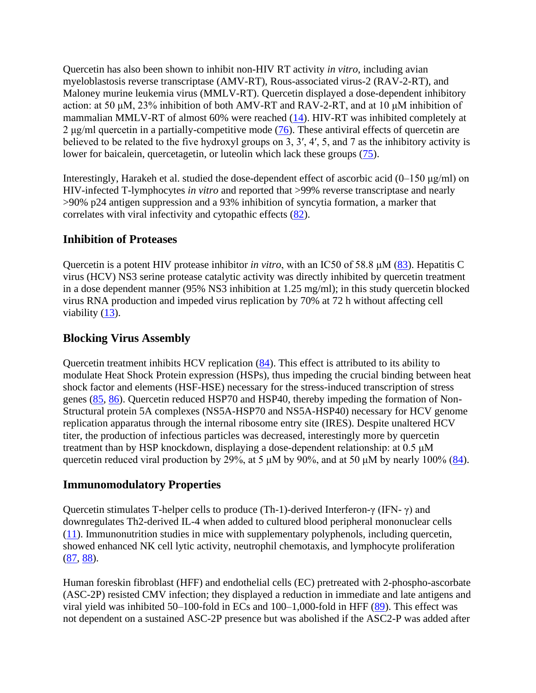Quercetin has also been shown to inhibit non-HIV RT activity *in vitro*, including avian myeloblastosis reverse transcriptase (AMV-RT), Rous-associated virus-2 (RAV-2-RT), and Maloney murine leukemia virus (MMLV-RT). Quercetin displayed a dose-dependent inhibitory action: at 50 μM, 23% inhibition of both AMV-RT and RAV-2-RT, and at 10 μM inhibition of mammalian MMLV-RT of almost 60% were reached [\(14\)](https://www.frontiersin.org/articles/10.3389/fimmu.2020.01451/full#B14). HIV-RT was inhibited completely at 2 μg/ml quercetin in a partially-competitive mode  $(76)$ . These antiviral effects of quercetin are believed to be related to the five hydroxyl groups on 3, 3′, 4′, 5, and 7 as the inhibitory activity is lower for baicalein, quercetagetin, or luteolin which lack these groups [\(75\)](https://www.frontiersin.org/articles/10.3389/fimmu.2020.01451/full#B75).

Interestingly, Harakeh et al. studied the dose-dependent effect of ascorbic acid  $(0-150 \mu g/ml)$  on HIV-infected T-lymphocytes *in vitro* and reported that >99% reverse transcriptase and nearly >90% p24 antigen suppression and a 93% inhibition of syncytia formation, a marker that correlates with viral infectivity and cytopathic effects [\(82\)](https://www.frontiersin.org/articles/10.3389/fimmu.2020.01451/full#B82).

#### **Inhibition of Proteases**

Quercetin is a potent HIV protease inhibitor *in vitro*, with an IC50 of 58.8 μM [\(83\)](https://www.frontiersin.org/articles/10.3389/fimmu.2020.01451/full#B83). Hepatitis C virus (HCV) NS3 serine protease catalytic activity was directly inhibited by quercetin treatment in a dose dependent manner (95% NS3 inhibition at 1.25 mg/ml); in this study quercetin blocked virus RNA production and impeded virus replication by 70% at 72 h without affecting cell viability  $(13)$ .

#### **Blocking Virus Assembly**

Quercetin treatment inhibits HCV replication [\(84\)](https://www.frontiersin.org/articles/10.3389/fimmu.2020.01451/full#B84). This effect is attributed to its ability to modulate Heat Shock Protein expression (HSPs), thus impeding the crucial binding between heat shock factor and elements (HSF-HSE) necessary for the stress-induced transcription of stress genes [\(85,](https://www.frontiersin.org/articles/10.3389/fimmu.2020.01451/full#B85) [86\)](https://www.frontiersin.org/articles/10.3389/fimmu.2020.01451/full#B86). Quercetin reduced HSP70 and HSP40, thereby impeding the formation of Non-Structural protein 5A complexes (NS5A-HSP70 and NS5A-HSP40) necessary for HCV genome replication apparatus through the internal ribosome entry site (IRES). Despite unaltered HCV titer, the production of infectious particles was decreased, interestingly more by quercetin treatment than by HSP knockdown, displaying a dose-dependent relationship: at 0.5 μM quercetin reduced viral production by 29%, at 5  $\mu$ M by 90%, and at 50  $\mu$ M by nearly 100% [\(84\)](https://www.frontiersin.org/articles/10.3389/fimmu.2020.01451/full#B84).

#### **Immunomodulatory Properties**

Quercetin stimulates T-helper cells to produce (Th-1)-derived Interferon-γ (IFN- γ) and downregulates Th2-derived IL-4 when added to cultured blood peripheral mononuclear cells [\(11\)](https://www.frontiersin.org/articles/10.3389/fimmu.2020.01451/full#B11). Immunonutrition studies in mice with supplementary polyphenols, including quercetin, showed enhanced NK cell lytic activity, neutrophil chemotaxis, and lymphocyte proliferation [\(87,](https://www.frontiersin.org/articles/10.3389/fimmu.2020.01451/full#B87) [88\)](https://www.frontiersin.org/articles/10.3389/fimmu.2020.01451/full#B88).

Human foreskin fibroblast (HFF) and endothelial cells (EC) pretreated with 2-phospho-ascorbate (ASC-2P) resisted CMV infection; they displayed a reduction in immediate and late antigens and viral yield was inhibited 50–100-fold in ECs and 100–1,000-fold in HFF [\(89\)](https://www.frontiersin.org/articles/10.3389/fimmu.2020.01451/full#B89). This effect was not dependent on a sustained ASC-2P presence but was abolished if the ASC2-P was added after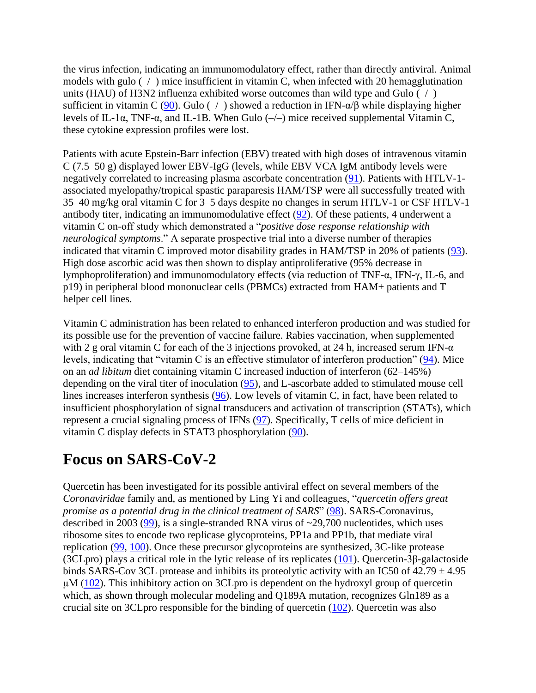the virus infection, indicating an immunomodulatory effect, rather than directly antiviral. Animal models with gulo  $(-/-)$  mice insufficient in vitamin C, when infected with 20 hemagglutination units (HAU) of H3N2 influenza exhibited worse outcomes than wild type and Gulo  $(-/-)$ sufficient in vitamin C [\(90\)](https://www.frontiersin.org/articles/10.3389/fimmu.2020.01451/full#B90). Gulo (-/-) showed a reduction in IFN- $\alpha/\beta$  while displaying higher levels of IL-1α, TNF-α, and IL-1B. When Gulo (–/–) mice received supplemental Vitamin C, these cytokine expression profiles were lost.

Patients with acute Epstein-Barr infection (EBV) treated with high doses of intravenous vitamin C (7.5–50 g) displayed lower EBV-IgG (levels, while EBV VCA IgM antibody levels were negatively correlated to increasing plasma ascorbate concentration [\(91\)](https://www.frontiersin.org/articles/10.3389/fimmu.2020.01451/full#B91). Patients with HTLV-1 associated myelopathy/tropical spastic paraparesis HAM/TSP were all successfully treated with 35–40 mg/kg oral vitamin C for 3–5 days despite no changes in serum HTLV-1 or CSF HTLV-1 antibody titer, indicating an immunomodulative effect [\(92\)](https://www.frontiersin.org/articles/10.3389/fimmu.2020.01451/full#B92). Of these patients, 4 underwent a vitamin C on-off study which demonstrated a "*positive dose response relationship with neurological symptoms*." A separate prospective trial into a diverse number of therapies indicated that vitamin C improved motor disability grades in HAM/TSP in 20% of patients [\(93\)](https://www.frontiersin.org/articles/10.3389/fimmu.2020.01451/full#B93). High dose ascorbic acid was then shown to display antiproliferative (95% decrease in lymphoproliferation) and immunomodulatory effects (via reduction of TNF-α, IFN-γ, IL-6, and p19) in peripheral blood mononuclear cells (PBMCs) extracted from HAM+ patients and T helper cell lines.

Vitamin C administration has been related to enhanced interferon production and was studied for its possible use for the prevention of vaccine failure. Rabies vaccination, when supplemented with 2 g oral vitamin C for each of the 3 injections provoked, at 24 h, increased serum IFN- $\alpha$ levels, indicating that "vitamin C is an effective stimulator of interferon production" [\(94\)](https://www.frontiersin.org/articles/10.3389/fimmu.2020.01451/full#B94). Mice on an *ad libitum* diet containing vitamin C increased induction of interferon (62–145%) depending on the viral titer of inoculation [\(95\)](https://www.frontiersin.org/articles/10.3389/fimmu.2020.01451/full#B95), and L-ascorbate added to stimulated mouse cell lines increases interferon synthesis [\(96\)](https://www.frontiersin.org/articles/10.3389/fimmu.2020.01451/full#B96). Low levels of vitamin C, in fact, have been related to insufficient phosphorylation of signal transducers and activation of transcription (STATs), which represent a crucial signaling process of IFNs [\(97\)](https://www.frontiersin.org/articles/10.3389/fimmu.2020.01451/full#B97). Specifically, T cells of mice deficient in vitamin C display defects in STAT3 phosphorylation [\(90\)](https://www.frontiersin.org/articles/10.3389/fimmu.2020.01451/full#B90).

#### **Focus on SARS-CoV-2**

Quercetin has been investigated for its possible antiviral effect on several members of the *Coronaviridae* family and, as mentioned by Ling Yi and colleagues, "*quercetin offers great promise as a potential drug in the clinical treatment of SARS*" [\(98\)](https://www.frontiersin.org/articles/10.3389/fimmu.2020.01451/full#B98). SARS-Coronavirus, described in 2003 ( $\frac{99}{9}$ ), is a single-stranded RNA virus of  $\sim$ 29,700 nucleotides, which uses ribosome sites to encode two replicase glycoproteins, PP1a and PP1b, that mediate viral replication [\(99,](https://www.frontiersin.org/articles/10.3389/fimmu.2020.01451/full#B99) [100\)](https://www.frontiersin.org/articles/10.3389/fimmu.2020.01451/full#B100). Once these precursor glycoproteins are synthesized, 3C-like protease (3CLpro) plays a critical role in the lytic release of its replicates [\(101\)](https://www.frontiersin.org/articles/10.3389/fimmu.2020.01451/full#B101). Quercetin-3β-galactoside binds SARS-Cov 3CL protease and inhibits its proteolytic activity with an IC50 of  $42.79 \pm 4.95$  $\mu$ M [\(102\)](https://www.frontiersin.org/articles/10.3389/fimmu.2020.01451/full#B102). This inhibitory action on 3CLpro is dependent on the hydroxyl group of quercetin which, as shown through molecular modeling and Q189A mutation, recognizes Gln189 as a crucial site on 3CLpro responsible for the binding of quercetin  $(102)$ . Quercetin was also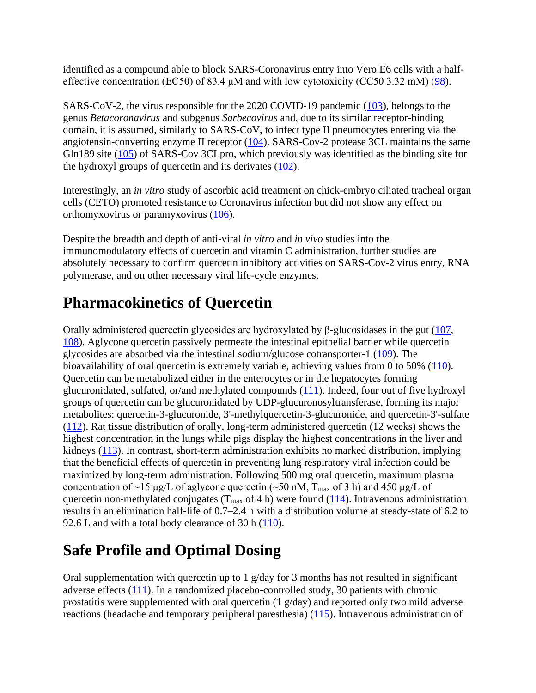identified as a compound able to block SARS-Coronavirus entry into Vero E6 cells with a halfeffective concentration (EC50) of 83.4 μM and with low cytotoxicity (CC50 3.32 mM) [\(98\)](https://www.frontiersin.org/articles/10.3389/fimmu.2020.01451/full#B98).

SARS-CoV-2, the virus responsible for the 2020 COVID-19 pandemic [\(103\)](https://www.frontiersin.org/articles/10.3389/fimmu.2020.01451/full#B103), belongs to the genus *Betacoronavirus* and subgenus *Sarbecovirus* and, due to its similar receptor-binding domain, it is assumed, similarly to SARS-CoV, to infect type II pneumocytes entering via the angiotensin-converting enzyme II receptor [\(104\)](https://www.frontiersin.org/articles/10.3389/fimmu.2020.01451/full#B104). SARS-Cov-2 protease 3CL maintains the same Gln189 site [\(105\)](https://www.frontiersin.org/articles/10.3389/fimmu.2020.01451/full#B105) of SARS-Cov 3CLpro, which previously was identified as the binding site for the hydroxyl groups of quercetin and its derivates [\(102\)](https://www.frontiersin.org/articles/10.3389/fimmu.2020.01451/full#B102).

Interestingly, an *in vitro* study of ascorbic acid treatment on chick-embryo ciliated tracheal organ cells (CETO) promoted resistance to Coronavirus infection but did not show any effect on orthomyxovirus or paramyxovirus [\(106\)](https://www.frontiersin.org/articles/10.3389/fimmu.2020.01451/full#B106).

Despite the breadth and depth of anti-viral *in vitro* and *in vivo* studies into the immunomodulatory effects of quercetin and vitamin C administration, further studies are absolutely necessary to confirm quercetin inhibitory activities on SARS-Cov-2 virus entry, RNA polymerase, and on other necessary viral life-cycle enzymes.

## **Pharmacokinetics of Quercetin**

Orally administered quercetin glycosides are hydroxylated by β-glucosidases in the gut  $(107, 107)$  $(107, 107)$ [108\)](https://www.frontiersin.org/articles/10.3389/fimmu.2020.01451/full#B108). Aglycone quercetin passively permeate the intestinal epithelial barrier while quercetin glycosides are absorbed via the intestinal sodium/glucose cotransporter-1 [\(109\)](https://www.frontiersin.org/articles/10.3389/fimmu.2020.01451/full#B109). The bioavailability of oral quercetin is extremely variable, achieving values from 0 to 50% [\(110\)](https://www.frontiersin.org/articles/10.3389/fimmu.2020.01451/full#B110). Quercetin can be metabolized either in the enterocytes or in the hepatocytes forming glucuronidated, sulfated, or/and methylated compounds [\(111\)](https://www.frontiersin.org/articles/10.3389/fimmu.2020.01451/full#B111). Indeed, four out of five hydroxyl groups of quercetin can be glucuronidated by UDP-glucuronosyltransferase, forming its major metabolites: quercetin-3-glucuronide, 3'-methylquercetin-3-glucuronide, and quercetin-3'-sulfate [\(112\)](https://www.frontiersin.org/articles/10.3389/fimmu.2020.01451/full#B112). Rat tissue distribution of orally, long-term administered quercetin (12 weeks) shows the highest concentration in the lungs while pigs display the highest concentrations in the liver and kidneys [\(113\)](https://www.frontiersin.org/articles/10.3389/fimmu.2020.01451/full#B113). In contrast, short-term administration exhibits no marked distribution, implying that the beneficial effects of quercetin in preventing lung respiratory viral infection could be maximized by long-term administration. Following 500 mg oral quercetin, maximum plasma concentration of ~15 μg/L of aglycone quercetin (~50 nM,  $T_{max}$  of 3 h) and 450 μg/L of quercetin non-methylated conjugates ( $T_{\text{max}}$  of 4 h) were found [\(114\)](https://www.frontiersin.org/articles/10.3389/fimmu.2020.01451/full#B114). Intravenous administration results in an elimination half-life of 0.7–2.4 h with a distribution volume at steady-state of 6.2 to 92.6 L and with a total body clearance of 30 h [\(110\)](https://www.frontiersin.org/articles/10.3389/fimmu.2020.01451/full#B110).

#### **Safe Profile and Optimal Dosing**

Oral supplementation with quercetin up to 1 g/day for 3 months has not resulted in significant adverse effects [\(111\)](https://www.frontiersin.org/articles/10.3389/fimmu.2020.01451/full#B111). In a randomized placebo-controlled study, 30 patients with chronic prostatitis were supplemented with oral quercetin (1 g/day) and reported only two mild adverse reactions (headache and temporary peripheral paresthesia) [\(115\)](https://www.frontiersin.org/articles/10.3389/fimmu.2020.01451/full#B115). Intravenous administration of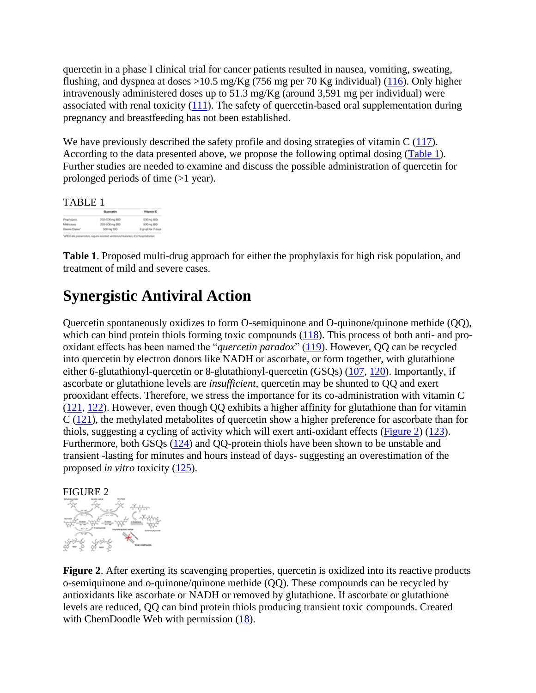quercetin in a phase I clinical trial for cancer patients resulted in nausea, vomiting, sweating, flushing, and dyspnea at doses  $>10.5$  mg/Kg (756 mg per 70 Kg individual) [\(116\)](https://www.frontiersin.org/articles/10.3389/fimmu.2020.01451/full#B116). Only higher intravenously administered doses up to 51.3 mg/Kg (around 3,591 mg per individual) were associated with renal toxicity [\(111\)](https://www.frontiersin.org/articles/10.3389/fimmu.2020.01451/full#B111). The safety of quercetin-based oral supplementation during pregnancy and breastfeeding has not been established.

We have previously described the safety profile and dosing strategies of vitamin C [\(117\)](https://www.frontiersin.org/articles/10.3389/fimmu.2020.01451/full#B117). According to the data presented above, we propose the following optimal dosing [\(Table 1\)](https://www.frontiersin.org/articles/10.3389/fimmu.2020.01451/full#T1). Further studies are needed to examine and discuss the possible administration of quercetin for prolonged periods of time (>1 year).

TABLE 1

|                           | Questelin      | Vitamin C          |
|---------------------------|----------------|--------------------|
| Prophylastic              | 250-500 mg BID | 530mg BD           |
| Mid-cases                 | 250-500 mg BO  | 500mg BD           |
| Sovere Cooke <sup>r</sup> | 500 mg EIO     | 3 grig6 for 7 days |

**Table 1**. Proposed multi-drug approach for either the prophylaxis for high risk population, and treatment of mild and severe cases.

## **Synergistic Antiviral Action**

Quercetin spontaneously oxidizes to form O-semiquinone and O-quinone/quinone methide (QQ), which can bind protein thiols forming toxic compounds [\(118\)](https://www.frontiersin.org/articles/10.3389/fimmu.2020.01451/full#B118). This process of both anti- and prooxidant effects has been named the "*quercetin paradox*" [\(119\)](https://www.frontiersin.org/articles/10.3389/fimmu.2020.01451/full#B119). However, QQ can be recycled into quercetin by electron donors like NADH or ascorbate, or form together, with glutathione either 6-glutathionyl-quercetin or 8-glutathionyl-quercetin (GSQs) [\(107,](https://www.frontiersin.org/articles/10.3389/fimmu.2020.01451/full#B107) [120\)](https://www.frontiersin.org/articles/10.3389/fimmu.2020.01451/full#B120). Importantly, if ascorbate or glutathione levels are *insufficient*, quercetin may be shunted to QQ and exert prooxidant effects. Therefore, we stress the importance for its co-administration with vitamin C [\(121,](https://www.frontiersin.org/articles/10.3389/fimmu.2020.01451/full#B121) [122\)](https://www.frontiersin.org/articles/10.3389/fimmu.2020.01451/full#B122). However, even though QQ exhibits a higher affinity for glutathione than for vitamin C [\(121\)](https://www.frontiersin.org/articles/10.3389/fimmu.2020.01451/full#B121), the methylated metabolites of quercetin show a higher preference for ascorbate than for thiols, suggesting a cycling of activity which will exert anti-oxidant effects [\(Figure 2\)](https://www.frontiersin.org/articles/10.3389/fimmu.2020.01451/full#F2) [\(123\)](https://www.frontiersin.org/articles/10.3389/fimmu.2020.01451/full#B123). Furthermore, both GSQs [\(124\)](https://www.frontiersin.org/articles/10.3389/fimmu.2020.01451/full#B124) and QQ-protein thiols have been shown to be unstable and transient -lasting for minutes and hours instead of days- suggesting an overestimation of the proposed *in vitro* toxicity [\(125\)](https://www.frontiersin.org/articles/10.3389/fimmu.2020.01451/full#B125).



**Figure 2**. After exerting its scavenging properties, quercetin is oxidized into its reactive products o-semiquinone and o-quinone/quinone methide (QQ). These compounds can be recycled by antioxidants like ascorbate or NADH or removed by glutathione. If ascorbate or glutathione levels are reduced, QQ can bind protein thiols producing transient toxic compounds. Created with ChemDoodle Web with permission  $(18)$ .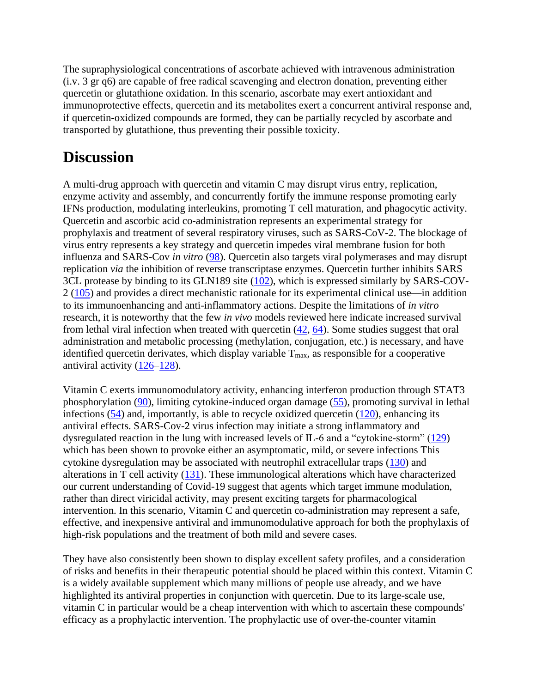The supraphysiological concentrations of ascorbate achieved with intravenous administration (i.v. 3 gr q6) are capable of free radical scavenging and electron donation, preventing either quercetin or glutathione oxidation. In this scenario, ascorbate may exert antioxidant and immunoprotective effects, quercetin and its metabolites exert a concurrent antiviral response and, if quercetin-oxidized compounds are formed, they can be partially recycled by ascorbate and transported by glutathione, thus preventing their possible toxicity.

## **Discussion**

A multi-drug approach with quercetin and vitamin C may disrupt virus entry, replication, enzyme activity and assembly, and concurrently fortify the immune response promoting early IFNs production, modulating interleukins, promoting T cell maturation, and phagocytic activity. Quercetin and ascorbic acid co-administration represents an experimental strategy for prophylaxis and treatment of several respiratory viruses, such as SARS-CoV-2. The blockage of virus entry represents a key strategy and quercetin impedes viral membrane fusion for both influenza and SARS-Cov *in vitro* [\(98\)](https://www.frontiersin.org/articles/10.3389/fimmu.2020.01451/full#B98). Quercetin also targets viral polymerases and may disrupt replication *via* the inhibition of reverse transcriptase enzymes. Quercetin further inhibits SARS 3CL protease by binding to its GLN189 site [\(102\)](https://www.frontiersin.org/articles/10.3389/fimmu.2020.01451/full#B102), which is expressed similarly by SARS-COV-2 [\(105\)](https://www.frontiersin.org/articles/10.3389/fimmu.2020.01451/full#B105) and provides a direct mechanistic rationale for its experimental clinical use—in addition to its immunoenhancing and anti-inflammatory actions. Despite the limitations of *in vitro* research, it is noteworthy that the few *in vivo* models reviewed here indicate increased survival from lethal viral infection when treated with quercetin [\(42,](https://www.frontiersin.org/articles/10.3389/fimmu.2020.01451/full#B42) [64\)](https://www.frontiersin.org/articles/10.3389/fimmu.2020.01451/full#B64). Some studies suggest that oral administration and metabolic processing (methylation, conjugation, etc.) is necessary, and have identified quercetin derivates, which display variable  $T_{\text{max}}$ , as responsible for a cooperative antiviral activity [\(126–](https://www.frontiersin.org/articles/10.3389/fimmu.2020.01451/full#B126)[128\)](https://www.frontiersin.org/articles/10.3389/fimmu.2020.01451/full#B128).

Vitamin C exerts immunomodulatory activity, enhancing interferon production through STAT3 phosphorylation [\(90\)](https://www.frontiersin.org/articles/10.3389/fimmu.2020.01451/full#B90), limiting cytokine-induced organ damage [\(55\)](https://www.frontiersin.org/articles/10.3389/fimmu.2020.01451/full#B55), promoting survival in lethal infections [\(54\)](https://www.frontiersin.org/articles/10.3389/fimmu.2020.01451/full#B54) and, importantly, is able to recycle oxidized quercetin [\(120\)](https://www.frontiersin.org/articles/10.3389/fimmu.2020.01451/full#B120), enhancing its antiviral effects. SARS-Cov-2 virus infection may initiate a strong inflammatory and dysregulated reaction in the lung with increased levels of IL-6 and a "cytokine-storm" [\(129\)](https://www.frontiersin.org/articles/10.3389/fimmu.2020.01451/full#B129) which has been shown to provoke either an asymptomatic, mild, or severe infections This cytokine dysregulation may be associated with neutrophil extracellular traps [\(130\)](https://www.frontiersin.org/articles/10.3389/fimmu.2020.01451/full#B130) and alterations in T cell activity [\(131\)](https://www.frontiersin.org/articles/10.3389/fimmu.2020.01451/full#B131). These immunological alterations which have characterized our current understanding of Covid-19 suggest that agents which target immune modulation, rather than direct viricidal activity, may present exciting targets for pharmacological intervention. In this scenario, Vitamin C and quercetin co-administration may represent a safe, effective, and inexpensive antiviral and immunomodulative approach for both the prophylaxis of high-risk populations and the treatment of both mild and severe cases.

They have also consistently been shown to display excellent safety profiles, and a consideration of risks and benefits in their therapeutic potential should be placed within this context. Vitamin C is a widely available supplement which many millions of people use already, and we have highlighted its antiviral properties in conjunction with quercetin. Due to its large-scale use, vitamin C in particular would be a cheap intervention with which to ascertain these compounds' efficacy as a prophylactic intervention. The prophylactic use of over-the-counter vitamin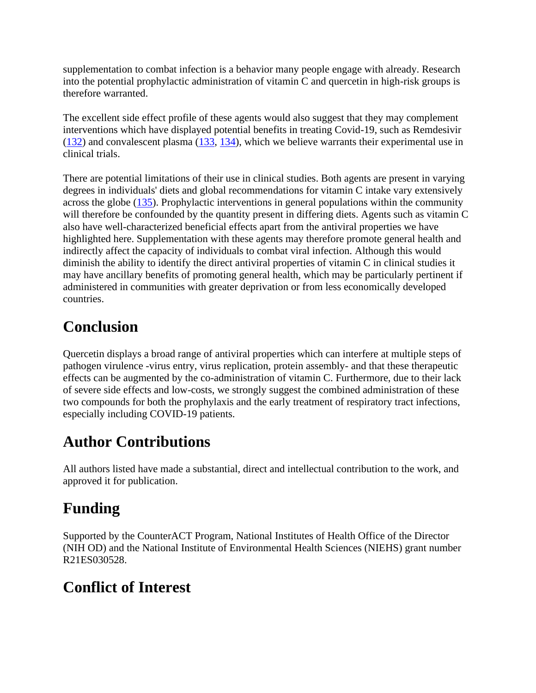supplementation to combat infection is a behavior many people engage with already. Research into the potential prophylactic administration of vitamin C and quercetin in high-risk groups is therefore warranted.

The excellent side effect profile of these agents would also suggest that they may complement interventions which have displayed potential benefits in treating Covid-19, such as Remdesivir [\(132\)](https://www.frontiersin.org/articles/10.3389/fimmu.2020.01451/full#B132) and convalescent plasma [\(133,](https://www.frontiersin.org/articles/10.3389/fimmu.2020.01451/full#B133) [134\)](https://www.frontiersin.org/articles/10.3389/fimmu.2020.01451/full#B134), which we believe warrants their experimental use in clinical trials.

There are potential limitations of their use in clinical studies. Both agents are present in varying degrees in individuals' diets and global recommendations for vitamin C intake vary extensively across the globe [\(135\)](https://www.frontiersin.org/articles/10.3389/fimmu.2020.01451/full#B135). Prophylactic interventions in general populations within the community will therefore be confounded by the quantity present in differing diets. Agents such as vitamin C also have well-characterized beneficial effects apart from the antiviral properties we have highlighted here. Supplementation with these agents may therefore promote general health and indirectly affect the capacity of individuals to combat viral infection. Although this would diminish the ability to identify the direct antiviral properties of vitamin C in clinical studies it may have ancillary benefits of promoting general health, which may be particularly pertinent if administered in communities with greater deprivation or from less economically developed countries.

## **Conclusion**

Quercetin displays a broad range of antiviral properties which can interfere at multiple steps of pathogen virulence -virus entry, virus replication, protein assembly- and that these therapeutic effects can be augmented by the co-administration of vitamin C. Furthermore, due to their lack of severe side effects and low-costs, we strongly suggest the combined administration of these two compounds for both the prophylaxis and the early treatment of respiratory tract infections, especially including COVID-19 patients.

## **Author Contributions**

All authors listed have made a substantial, direct and intellectual contribution to the work, and approved it for publication.

## **Funding**

Supported by the CounterACT Program, National Institutes of Health Office of the Director (NIH OD) and the National Institute of Environmental Health Sciences (NIEHS) grant number R21ES030528.

## **Conflict of Interest**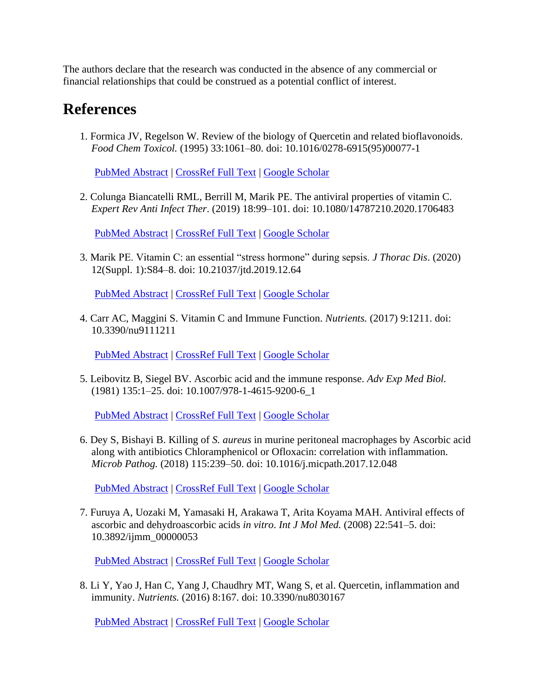The authors declare that the research was conducted in the absence of any commercial or financial relationships that could be construed as a potential conflict of interest.

#### **References**

1. Formica JV, Regelson W. Review of the biology of Quercetin and related bioflavonoids. *Food Chem Toxicol.* (1995) 33:1061–80. doi: 10.1016/0278-6915(95)00077-1

[PubMed Abstract](http://www.ncbi.nlm.nih.gov/sites/entrez?Db=pubmed&Cmd=ShowDetailView&TermToSearch=8847003) | [CrossRef Full Text](https://doi.org/10.1016/0278-6915(95)00077-1) | [Google Scholar](http://scholar.google.com/scholar_lookup?author=JV.+Formica&author=W.+Regelson+&publication_year=1995&title=Review+of+the+biology+of+Quercetin+and+related+bioflavonoids&journal=Food+Chem+Toxicol.&volume=33&pages=1061-80)

2. Colunga Biancatelli RML, Berrill M, Marik PE. The antiviral properties of vitamin C. *Expert Rev Anti Infect Ther*. (2019) 18:99–101. doi: 10.1080/14787210.2020.1706483

[PubMed Abstract](http://www.ncbi.nlm.nih.gov/sites/entrez?Db=pubmed&Cmd=ShowDetailView&TermToSearch=31852327) | [CrossRef Full Text](https://doi.org/10.1080/14787210.2020.1706483) | [Google Scholar](http://scholar.google.com/scholar_lookup?author=RML.+Colunga+Biancatelli&author=M.+Berrill&author=PE.+Marik+&publication_year=2019&title=The+antiviral+properties+of+vitamin+C&journal=Expert+Rev+Anti+Infect+Ther&volume=18&pages=99-101)

3. Marik PE. Vitamin C: an essential "stress hormone" during sepsis. *J Thorac Dis*. (2020) 12(Suppl. 1):S84–8. doi: 10.21037/jtd.2019.12.64

[PubMed Abstract](http://www.ncbi.nlm.nih.gov/sites/entrez?Db=pubmed&Cmd=ShowDetailView&TermToSearch=32148930) | [CrossRef Full Text](https://doi.org/10.21037/jtd.2019.12.64) | [Google Scholar](http://scholar.google.com/scholar_lookup?author=PE.+Marik+&publication_year=2020&title=Vitamin+C%3A+an+essential+)

4. Carr AC, Maggini S. Vitamin C and Immune Function. *Nutrients.* (2017) 9:1211. doi: 10.3390/nu9111211

[PubMed Abstract](http://www.ncbi.nlm.nih.gov/sites/entrez?Db=pubmed&Cmd=ShowDetailView&TermToSearch=29099763) | [CrossRef Full Text](https://doi.org/10.3390/nu9111211) | [Google Scholar](http://scholar.google.com/scholar_lookup?author=AC.+Carr&author=S.+Maggini+&publication_year=2017&title=Vitamin+C+and+Immune+Function&journal=Nutrients.&volume=9&pages=1211)

5. Leibovitz B, Siegel BV. Ascorbic acid and the immune response. *Adv Exp Med Biol.* (1981) 135:1–25. doi: 10.1007/978-1-4615-9200-6\_1

[PubMed Abstract](http://www.ncbi.nlm.nih.gov/sites/entrez?Db=pubmed&Cmd=ShowDetailView&TermToSearch=7010958) | [CrossRef Full Text](https://doi.org/10.1007/978-1-4615-9200-6_1) | [Google Scholar](http://scholar.google.com/scholar_lookup?author=B.+Leibovitz&author=BV.+Siegel+&publication_year=1981&title=Ascorbic+acid+and+the+immune+response&journal=Adv+Exp+Med+Biol.&volume=135&pages=1-25)

6. Dey S, Bishayi B. Killing of *S. aureus* in murine peritoneal macrophages by Ascorbic acid along with antibiotics Chloramphenicol or Ofloxacin: correlation with inflammation. *Microb Pathog.* (2018) 115:239–50. doi: 10.1016/j.micpath.2017.12.048

[PubMed Abstract](http://www.ncbi.nlm.nih.gov/sites/entrez?Db=pubmed&Cmd=ShowDetailView&TermToSearch=29274459) | [CrossRef Full Text](https://doi.org/10.1016/j.micpath.2017.12.048) | [Google Scholar](http://scholar.google.com/scholar_lookup?author=S.+Dey&author=B.+Bishayi+&publication_year=2018&title=Killing+of+S.+aureus+in+murine+peritoneal+macrophages+by+Ascorbic+acid+along+with+antibiotics+Chloramphenicol+or+Ofloxacin%3A+correlation+with+inflammation&journal=Microb+Pathog.&volume=115&pages=239-50)

7. Furuya A, Uozaki M, Yamasaki H, Arakawa T, Arita Koyama MAH. Antiviral effects of ascorbic and dehydroascorbic acids *in vitro*. *Int J Mol Med.* (2008) 22:541–5. doi: 10.3892/ijmm\_00000053

[PubMed Abstract](http://www.ncbi.nlm.nih.gov/sites/entrez?Db=pubmed&Cmd=ShowDetailView&TermToSearch=18813862) | [CrossRef Full Text](https://doi.org/10.3892/ijmm_00000053) | [Google Scholar](http://scholar.google.com/scholar_lookup?author=A.+Furuya&author=M.+Uozaki&author=H.+Yamasaki&author=T.+Arakawa&author=MAH.+Arita+Koyama+&publication_year=2008&title=Antiviral+effects+of+ascorbic+and+dehydroascorbic+acids+in+vitro&journal=Int+J+Mol+Med.&volume=22&pages=541-5)

8. Li Y, Yao J, Han C, Yang J, Chaudhry MT, Wang S, et al. Quercetin, inflammation and immunity. *Nutrients.* (2016) 8:167. doi: 10.3390/nu8030167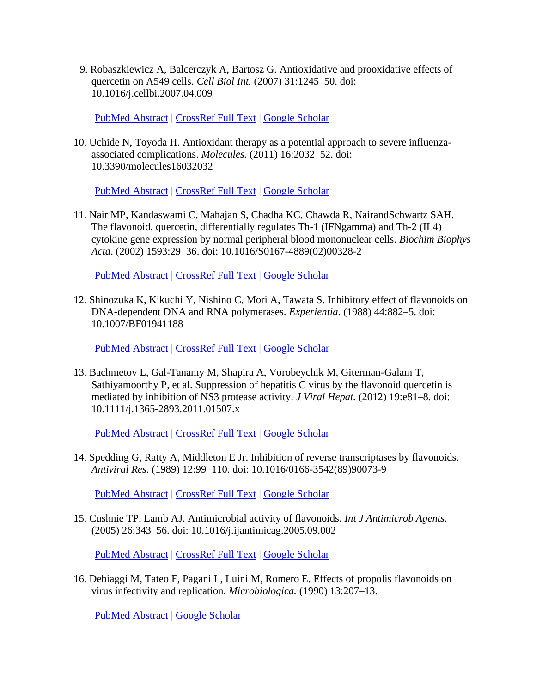9. Robaszkiewicz A, Balcerczyk A, Bartosz G. Antioxidative and prooxidative effects of quercetin on A549 cells. *Cell Biol Int.* (2007) 31:1245–50. doi: 10.1016/j.cellbi.2007.04.009

[PubMed Abstract](http://www.ncbi.nlm.nih.gov/sites/entrez?Db=pubmed&Cmd=ShowDetailView&TermToSearch=17583542) | [CrossRef Full Text](https://doi.org/10.1016/j.cellbi.2007.04.009) | [Google Scholar](http://scholar.google.com/scholar_lookup?author=A.+Robaszkiewicz&author=A.+Balcerczyk&author=G.+Bartosz+&publication_year=2007&title=Antioxidative+and+prooxidative+effects+of+quercetin+on+A549+cells&journal=Cell+Biol+Int.&volume=31&pages=1245-50)

10. Uchide N, Toyoda H. Antioxidant therapy as a potential approach to severe influenzaassociated complications. *Molecules.* (2011) 16:2032–52. doi: 10.3390/molecules16032032

[PubMed Abstract](http://www.ncbi.nlm.nih.gov/sites/entrez?Db=pubmed&Cmd=ShowDetailView&TermToSearch=21358592) | [CrossRef Full Text](https://doi.org/10.3390/molecules16032032) | [Google Scholar](http://scholar.google.com/scholar_lookup?author=N.+Uchide&author=H.+Toyoda+&publication_year=2011&title=Antioxidant+therapy+as+a+potential+approach+to+severe+influenza-associated+complications&journal=Molecules.&volume=16&pages=2032-52)

11. Nair MP, Kandaswami C, Mahajan S, Chadha KC, Chawda R, NairandSchwartz SAH. The flavonoid, quercetin, differentially regulates Th-1 (IFNgamma) and Th-2 (IL4) cytokine gene expression by normal peripheral blood mononuclear cells. *Biochim Biophys Acta*. (2002) 1593:29–36. doi: 10.1016/S0167-4889(02)00328-2

[PubMed Abstract](http://www.ncbi.nlm.nih.gov/sites/entrez?Db=pubmed&Cmd=ShowDetailView&TermToSearch=12431781) | [CrossRef Full Text](https://doi.org/10.1016/S0167-4889(02)00328-2) | [Google Scholar](http://scholar.google.com/scholar_lookup?author=MP.+Nair&author=C.+Kandaswami&author=S.+Mahajan&author=KC.+Chadha&author=R.+Chawda&author=SAH.+NairandSchwartz+&publication_year=2002&title=The+flavonoid,+quercetin,+differentially+regulates+Th-1+(IFNgamma)+and+Th-2+(IL4)+cytokine+gene+expression+by+normal+peripheral+blood+mononuclear+cells&journal=Biochim+Biophys+Acta&volume=1593&pages=29-36)

12. Shinozuka K, Kikuchi Y, Nishino C, Mori A, Tawata S. Inhibitory effect of flavonoids on DNA-dependent DNA and RNA polymerases. *Experientia.* (1988) 44:882–5. doi: 10.1007/BF01941188

[PubMed Abstract](http://www.ncbi.nlm.nih.gov/sites/entrez?Db=pubmed&Cmd=ShowDetailView&TermToSearch=2460368) | [CrossRef Full Text](https://doi.org/10.1007/BF01941188) | [Google Scholar](http://scholar.google.com/scholar_lookup?author=K.+Shinozuka&author=Y.+Kikuchi&author=C.+Nishino&author=A.+Mori&author=S.+Tawata+&publication_year=1988&title=Inhibitory+effect+of+flavonoids+on+DNA-dependent+DNA+and+RNA+polymerases&journal=Experientia.&volume=44&pages=882-5)

13. Bachmetov L, Gal-Tanamy M, Shapira A, Vorobeychik M, Giterman-Galam T, Sathiyamoorthy P, et al. Suppression of hepatitis C virus by the flavonoid quercetin is mediated by inhibition of NS3 protease activity. *J Viral Hepat.* (2012) 19:e81–8. doi: 10.1111/j.1365-2893.2011.01507.x

[PubMed Abstract](http://www.ncbi.nlm.nih.gov/sites/entrez?Db=pubmed&Cmd=ShowDetailView&TermToSearch=22239530) | [CrossRef Full Text](https://doi.org/10.1111/j.1365-2893.2011.01507.x) | [Google Scholar](http://scholar.google.com/scholar_lookup?author=L.+Bachmetov&author=M.+Gal-Tanamy&author=A.+Shapira&author=M.+Vorobeychik&author=T.+Giterman-Galam&author=P.+Sathiyamoorthy+&publication_year=2012&title=Suppression+of+hepatitis+C+virus+by+the+flavonoid+quercetin+is+mediated+by+inhibition+of+NS3+protease+activity&journal=J+Viral+Hepat.&volume=19&pages=e81-8)

14. Spedding G, Ratty A, Middleton E Jr. Inhibition of reverse transcriptases by flavonoids. *Antiviral Res.* (1989) 12:99–110. doi: 10.1016/0166-3542(89)90073-9

[PubMed Abstract](http://www.ncbi.nlm.nih.gov/sites/entrez?Db=pubmed&Cmd=ShowDetailView&TermToSearch=2480745) | [CrossRef Full Text](https://doi.org/10.1016/0166-3542(89)90073-9) | [Google Scholar](http://scholar.google.com/scholar_lookup?author=G.+Spedding&author=A.+Ratty&author=E.+Middleton+&publication_year=1989&title=Inhibition+of+reverse+transcriptases+by+flavonoids&journal=Antiviral+Res.&volume=12&pages=99-110)

15. Cushnie TP, Lamb AJ. Antimicrobial activity of flavonoids. *Int J Antimicrob Agents.* (2005) 26:343–56. doi: 10.1016/j.ijantimicag.2005.09.002

[PubMed Abstract](http://www.ncbi.nlm.nih.gov/sites/entrez?Db=pubmed&Cmd=ShowDetailView&TermToSearch=16323269) | [CrossRef Full Text](https://doi.org/10.1016/j.ijantimicag.2005.09.002) | [Google Scholar](http://scholar.google.com/scholar_lookup?author=TP.+Cushnie&author=AJ.+Lamb+&publication_year=2005&title=Antimicrobial+activity+of+flavonoids&journal=Int+J+Antimicrob+Agents.&volume=26&pages=343-56)

16. Debiaggi M, Tateo F, Pagani L, Luini M, Romero E. Effects of propolis flavonoids on virus infectivity and replication. *Microbiologica.* (1990) 13:207–13.

[PubMed Abstract](http://www.ncbi.nlm.nih.gov/sites/entrez?Db=pubmed&Cmd=ShowDetailView&TermToSearch=2125682) | [Google Scholar](http://scholar.google.com/scholar_lookup?author=M.+Debiaggi&author=F.+Tateo&author=L.+Pagani&author=M.+Luini&author=E.+Romero+&publication_year=1990&title=Effects+of+propolis+flavonoids+on+virus+infectivity+and+replication&journal=Microbiologica.&volume=13&pages=207-13)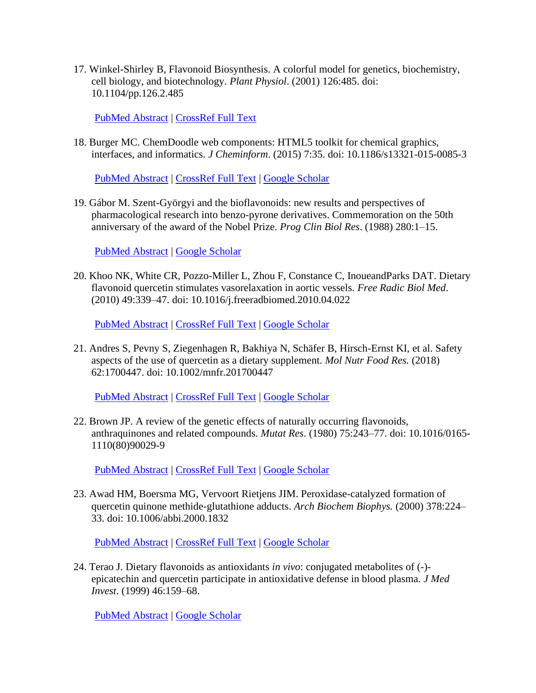17. Winkel-Shirley B, Flavonoid Biosynthesis. A colorful model for genetics, biochemistry, cell biology, and biotechnology. *Plant Physiol*. (2001) 126:485. doi: 10.1104/pp.126.2.485

[PubMed Abstract](http://www.ncbi.nlm.nih.gov/sites/entrez?Db=pubmed&Cmd=ShowDetailView&TermToSearch=11402179) | [CrossRef Full Text](https://doi.org/10.1104/pp.126.2.485)

18. Burger MC. ChemDoodle web components: HTML5 toolkit for chemical graphics, interfaces, and informatics. *J Cheminform*. (2015) 7:35. doi: 10.1186/s13321-015-0085-3

[PubMed Abstract](http://www.ncbi.nlm.nih.gov/sites/entrez?Db=pubmed&Cmd=ShowDetailView&TermToSearch=26185528) | [CrossRef Full Text](https://doi.org/10.1186/s13321-015-0085-3) | [Google Scholar](http://scholar.google.com/scholar_lookup?author=MC.+Burger+&publication_year=2015&title=ChemDoodle+web+components%3A+HTML5+toolkit+for+chemical+graphics,+interfaces,+and+informatics&journal=J+Cheminform&volume=7&pages=35)

19. Gábor M. Szent-Györgyi and the bioflavonoids: new results and perspectives of pharmacological research into benzo-pyrone derivatives. Commemoration on the 50th anniversary of the award of the Nobel Prize. *Prog Clin Biol Res*. (1988) 280:1–15.

[PubMed Abstract](http://www.ncbi.nlm.nih.gov/sites/entrez?Db=pubmed&Cmd=ShowDetailView&TermToSearch=3051022) | [Google Scholar](http://scholar.google.com/scholar_lookup?author=M.+Gábor+&publication_year=1988&title=Szent-Györgyi+and+the+bioflavonoids%3A+new+results+and+perspectives+of+pharmacological+research+into+benzo-pyrone+derivatives.+Commemoration+on+the+50th+anniversary+of+the+award+of+the+Nobel+Prize&journal=Prog+Clin+Biol+Res&volume=280&pages=1-15)

20. Khoo NK, White CR, Pozzo-Miller L, Zhou F, Constance C, InoueandParks DAT. Dietary flavonoid quercetin stimulates vasorelaxation in aortic vessels. *Free Radic Biol Med*. (2010) 49:339–47. doi: 10.1016/j.freeradbiomed.2010.04.022

[PubMed Abstract](http://www.ncbi.nlm.nih.gov/sites/entrez?Db=pubmed&Cmd=ShowDetailView&TermToSearch=20423726) | [CrossRef Full Text](https://doi.org/10.1016/j.freeradbiomed.2010.04.022) | [Google Scholar](http://scholar.google.com/scholar_lookup?author=NK.+Khoo&author=CR.+White&author=L.+Pozzo-Miller&author=F.+Zhou&author=C.+Constance&author=DAT.+InoueandParks+&publication_year=2010&title=Dietary+flavonoid+quercetin+stimulates+vasorelaxation+in+aortic+vessels&journal=Free+Radic+Biol+Med&volume=49&pages=339-47)

21. Andres S, Pevny S, Ziegenhagen R, Bakhiya N, Schäfer B, Hirsch-Ernst KI, et al. Safety aspects of the use of quercetin as a dietary supplement. *Mol Nutr Food Res.* (2018) 62:1700447. doi: 10.1002/mnfr.201700447

[PubMed Abstract](http://www.ncbi.nlm.nih.gov/sites/entrez?Db=pubmed&Cmd=ShowDetailView&TermToSearch=29127724) | [CrossRef Full Text](https://doi.org/10.1002/mnfr.201700447) | [Google Scholar](http://scholar.google.com/scholar_lookup?author=S.+Andres&author=S.+Pevny&author=R.+Ziegenhagen&author=N.+Bakhiya&author=B.+Schäfer&author=KI.+Hirsch-Ernst+&publication_year=2018&title=Safety+aspects+of+the+use+of+quercetin+as+a+dietary+supplement&journal=Mol+Nutr+Food+Res.&volume=62&pages=1700447)

22. Brown JP. A review of the genetic effects of naturally occurring flavonoids, anthraquinones and related compounds. *Mutat Res*. (1980) 75:243–77. doi: 10.1016/0165- 1110(80)90029-9

[PubMed Abstract](http://www.ncbi.nlm.nih.gov/sites/entrez?Db=pubmed&Cmd=ShowDetailView&TermToSearch=6770263) | [CrossRef Full Text](https://doi.org/10.1016/0165-1110(80)90029-9) | [Google Scholar](http://scholar.google.com/scholar_lookup?author=JP.+Brown+&publication_year=1980&title=A+review+of+the+genetic+effects+of+naturally+occurring+flavonoids,+anthraquinones+and+related+compounds&journal=Mutat+Res&volume=75&pages=243-77)

23. Awad HM, Boersma MG, Vervoort Rietjens JIM. Peroxidase-catalyzed formation of quercetin quinone methide-glutathione adducts. *Arch Biochem Biophys.* (2000) 378:224– 33. doi: 10.1006/abbi.2000.1832

[PubMed Abstract](http://www.ncbi.nlm.nih.gov/sites/entrez?Db=pubmed&Cmd=ShowDetailView&TermToSearch=10860540) | [CrossRef Full Text](https://doi.org/10.1006/abbi.2000.1832) | [Google Scholar](http://scholar.google.com/scholar_lookup?author=HM.+Awad&author=MG.+Boersma&author=JIM.+Vervoort+Rietjens+&publication_year=2000&title=Peroxidase-catalyzed+formation+of+quercetin+quinone+methide-glutathione+adducts&journal=Arch+Biochem+Biophys.&volume=378&pages=224-33)

24. Terao J. Dietary flavonoids as antioxidants *in vivo*: conjugated metabolites of (-) epicatechin and quercetin participate in antioxidative defense in blood plasma. *J Med Invest*. (1999) 46:159–68.

[PubMed Abstract](http://www.ncbi.nlm.nih.gov/sites/entrez?Db=pubmed&Cmd=ShowDetailView&TermToSearch=10687310) | [Google Scholar](http://scholar.google.com/scholar_lookup?author=J.+Terao+&publication_year=1999&title=Dietary+flavonoids+as+antioxidants+in+vivo%3A+conjugated+metabolites+of+(-)-epicatechin+and+quercetin+participate+in+antioxidative+defense+in+blood+plasma&journal=J+Med+Invest&volume=46&pages=159-68)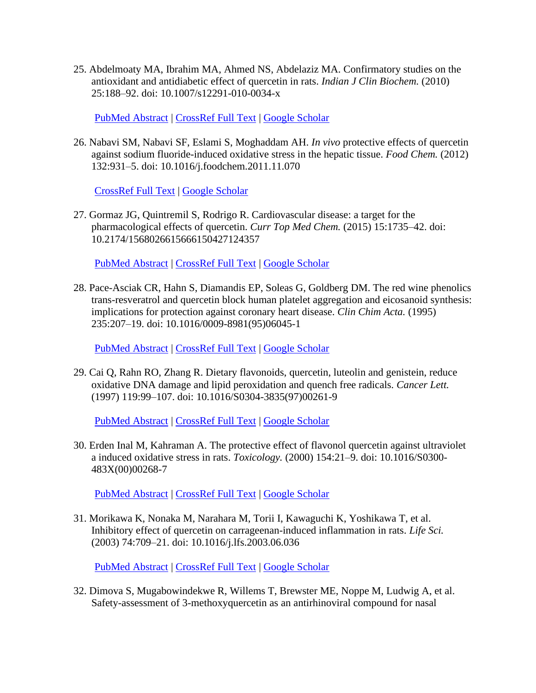25. Abdelmoaty MA, Ibrahim MA, Ahmed NS, Abdelaziz MA. Confirmatory studies on the antioxidant and antidiabetic effect of quercetin in rats. *Indian J Clin Biochem.* (2010) 25:188–92. doi: 10.1007/s12291-010-0034-x

[PubMed Abstract](http://www.ncbi.nlm.nih.gov/sites/entrez?Db=pubmed&Cmd=ShowDetailView&TermToSearch=23105908) | [CrossRef Full Text](https://doi.org/10.1007/s12291-010-0034-x) | [Google Scholar](http://scholar.google.com/scholar_lookup?author=MA.+Abdelmoaty&author=MA.+Ibrahim&author=NS.+Ahmed&author=MA.+Abdelaziz+&publication_year=2010&title=Confirmatory+studies+on+the+antioxidant+and+antidiabetic+effect+of+quercetin+in+rats&journal=Indian+J+Clin+Biochem.&volume=25&pages=188-92)

26. Nabavi SM, Nabavi SF, Eslami S, Moghaddam AH. *In vivo* protective effects of quercetin against sodium fluoride-induced oxidative stress in the hepatic tissue. *Food Chem.* (2012) 132:931–5. doi: 10.1016/j.foodchem.2011.11.070

[CrossRef Full Text](https://doi.org/10.1016/j.foodchem.2011.11.070) | [Google Scholar](http://scholar.google.com/scholar_lookup?author=SM.+Nabavi&author=SF.+Nabavi&author=S.+Eslami&author=AH.+Moghaddam+&publication_year=2012&title=In+vivo+protective+effects+of+quercetin+against+sodium+fluoride-induced+oxidative+stress+in+the+hepatic+tissue&journal=Food+Chem.&volume=132&pages=931-5)

27. Gormaz JG, Quintremil S, Rodrigo R. Cardiovascular disease: a target for the pharmacological effects of quercetin. *Curr Top Med Chem.* (2015) 15:1735–42. doi: 10.2174/1568026615666150427124357

[PubMed Abstract](http://www.ncbi.nlm.nih.gov/sites/entrez?Db=pubmed&Cmd=ShowDetailView&TermToSearch=25915608) | [CrossRef Full Text](https://doi.org/10.2174/1568026615666150427124357) | [Google Scholar](http://scholar.google.com/scholar_lookup?author=JG.+Gormaz&author=S.+Quintremil&author=R.+Rodrigo+&publication_year=2015&title=Cardiovascular+disease%3A+a+target+for+the+pharmacological+effects+of+quercetin&journal=Curr+Top+Med+Chem.&volume=15&pages=1735-42)

28. Pace-Asciak CR, Hahn S, Diamandis EP, Soleas G, Goldberg DM. The red wine phenolics trans-resveratrol and quercetin block human platelet aggregation and eicosanoid synthesis: implications for protection against coronary heart disease. *Clin Chim Acta.* (1995) 235:207–19. doi: 10.1016/0009-8981(95)06045-1

[PubMed Abstract](http://www.ncbi.nlm.nih.gov/sites/entrez?Db=pubmed&Cmd=ShowDetailView&TermToSearch=7554275) | [CrossRef Full Text](https://doi.org/10.1016/0009-8981(95)06045-1) | [Google Scholar](http://scholar.google.com/scholar_lookup?author=CR.+Pace-Asciak&author=S.+Hahn&author=EP.+Diamandis&author=G.+Soleas&author=DM.+Goldberg+&publication_year=1995&title=The+red+wine+phenolics+trans-resveratrol+and+quercetin+block+human+platelet+aggregation+and+eicosanoid+synthesis%3A+implications+for+protection+against+coronary+heart+disease&journal=Clin+Chim+Acta.&volume=235&pages=207-19)

29. Cai Q, Rahn RO, Zhang R. Dietary flavonoids, quercetin, luteolin and genistein, reduce oxidative DNA damage and lipid peroxidation and quench free radicals. *Cancer Lett.* (1997) 119:99–107. doi: 10.1016/S0304-3835(97)00261-9

[PubMed Abstract](http://www.ncbi.nlm.nih.gov/sites/entrez?Db=pubmed&Cmd=ShowDetailView&TermToSearch=18372528) | [CrossRef Full Text](https://doi.org/10.1016/S0304-3835(97)00261-9) | [Google Scholar](http://scholar.google.com/scholar_lookup?author=Q.+Cai&author=RO.+Rahn&author=R.+Zhang+&publication_year=1997&title=Dietary+flavonoids,+quercetin,+luteolin+and+genistein,+reduce+oxidative+DNA+damage+and+lipid+peroxidation+and+quench+free+radicals&journal=Cancer+Lett.&volume=119&pages=99-107)

30. Erden Inal M, Kahraman A. The protective effect of flavonol quercetin against ultraviolet a induced oxidative stress in rats. *Toxicology.* (2000) 154:21–9. doi: 10.1016/S0300- 483X(00)00268-7

[PubMed Abstract](http://www.ncbi.nlm.nih.gov/sites/entrez?Db=pubmed&Cmd=ShowDetailView&TermToSearch=11118667) | [CrossRef Full Text](https://doi.org/10.1016/S0300-483X(00)00268-7) | [Google Scholar](http://scholar.google.com/scholar_lookup?author=M.+Erden+Inal&author=A.+Kahraman+&publication_year=2000&title=The+protective+effect+of+flavonol+quercetin+against+ultraviolet+a+induced+oxidative+stress+in+rats&journal=Toxicology.&volume=154&pages=21-9)

31. Morikawa K, Nonaka M, Narahara M, Torii I, Kawaguchi K, Yoshikawa T, et al. Inhibitory effect of quercetin on carrageenan-induced inflammation in rats. *Life Sci.* (2003) 74:709–21. doi: 10.1016/j.lfs.2003.06.036

[PubMed Abstract](http://www.ncbi.nlm.nih.gov/sites/entrez?Db=pubmed&Cmd=ShowDetailView&TermToSearch=14654164) | [CrossRef Full Text](https://doi.org/10.1016/j.lfs.2003.06.036) | [Google Scholar](http://scholar.google.com/scholar_lookup?author=K.+Morikawa&author=M.+Nonaka&author=M.+Narahara&author=I.+Torii&author=K.+Kawaguchi&author=T.+Yoshikawa+&publication_year=2003&title=Inhibitory+effect+of+quercetin+on+carrageenan-induced+inflammation+in+rats&journal=Life+Sci.&volume=74&pages=709-21)

32. Dimova S, Mugabowindekwe R, Willems T, Brewster ME, Noppe M, Ludwig A, et al. Safety-assessment of 3-methoxyquercetin as an antirhinoviral compound for nasal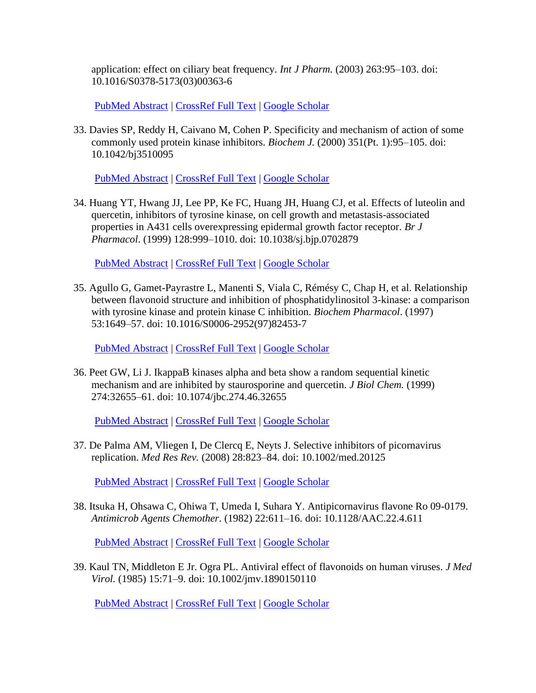application: effect on ciliary beat frequency. *Int J Pharm.* (2003) 263:95–103. doi: 10.1016/S0378-5173(03)00363-6

[PubMed Abstract](http://www.ncbi.nlm.nih.gov/sites/entrez?Db=pubmed&Cmd=ShowDetailView&TermToSearch=12954184) | [CrossRef Full Text](https://doi.org/10.1016/S0378-5173(03)00363-6) | [Google Scholar](http://scholar.google.com/scholar_lookup?author=S.+Dimova&author=R.+Mugabowindekwe&author=T.+Willems&author=ME.+Brewster&author=M.+Noppe&author=A.+Ludwig+&publication_year=2003&title=Safety-assessment+of+3-methoxyquercetin+as+an+antirhinoviral+compound+for+nasal+application%3A+effect+on+ciliary+beat+frequency&journal=Int+J+Pharm.&volume=263&pages=95-103)

33. Davies SP, Reddy H, Caivano M, Cohen P. Specificity and mechanism of action of some commonly used protein kinase inhibitors. *Biochem J.* (2000) 351(Pt. 1):95–105. doi: 10.1042/bj3510095

[PubMed Abstract](http://www.ncbi.nlm.nih.gov/sites/entrez?Db=pubmed&Cmd=ShowDetailView&TermToSearch=10998351) | [CrossRef Full Text](https://doi.org/10.1042/bj3510095) | [Google Scholar](http://scholar.google.com/scholar_lookup?author=SP.+Davies&author=H.+Reddy&author=M.+Caivano&author=P.+Cohen+&publication_year=2000&title=Specificity+and+mechanism+of+action+of+some+commonly+used+protein+kinase+inhibitors&journal=Biochem+J.&volume=351&pages=95-105)

34. Huang YT, Hwang JJ, Lee PP, Ke FC, Huang JH, Huang CJ, et al. Effects of luteolin and quercetin, inhibitors of tyrosine kinase, on cell growth and metastasis-associated properties in A431 cells overexpressing epidermal growth factor receptor. *Br J Pharmacol*. (1999) 128:999–1010. doi: 10.1038/sj.bjp.0702879

[PubMed Abstract](http://www.ncbi.nlm.nih.gov/sites/entrez?Db=pubmed&Cmd=ShowDetailView&TermToSearch=10556937) | [CrossRef Full Text](https://doi.org/10.1038/sj.bjp.0702879) | [Google Scholar](http://scholar.google.com/scholar_lookup?author=YT.+Huang&author=JJ.+Hwang&author=PP.+Lee&author=FC.+Ke&author=JH.+Huang&author=CJ.+Huang+&publication_year=1999&title=Effects+of+luteolin+and+quercetin,+inhibitors+of+tyrosine+kinase,+on+cell+growth+and+metastasis-associated+properties+in+A431+cells+overexpressing+epidermal+growth+factor+receptor&journal=Br+J+Pharmacol&volume=128&pages=999-1010)

35. Agullo G, Gamet-Payrastre L, Manenti S, Viala C, Rémésy C, Chap H, et al. Relationship between flavonoid structure and inhibition of phosphatidylinositol 3-kinase: a comparison with tyrosine kinase and protein kinase C inhibition. *Biochem Pharmacol*. (1997) 53:1649–57. doi: 10.1016/S0006-2952(97)82453-7

[PubMed Abstract](http://www.ncbi.nlm.nih.gov/sites/entrez?Db=pubmed&Cmd=ShowDetailView&TermToSearch=9264317) | [CrossRef Full Text](https://doi.org/10.1016/S0006-2952(97)82453-7) | [Google Scholar](http://scholar.google.com/scholar_lookup?author=G.+Agullo&author=L.+Gamet-Payrastre&author=S.+Manenti&author=C.+Viala&author=C.+Rémésy&author=H.+Chap+&publication_year=1997&title=Relationship+between+flavonoid+structure+and+inhibition+of+phosphatidylinositol+3-kinase%3A+a+comparison+with+tyrosine+kinase+and+protein+kinase+C+inhibition&journal=Biochem+Pharmacol&volume=53&pages=1649-57)

36. Peet GW, Li J. IkappaB kinases alpha and beta show a random sequential kinetic mechanism and are inhibited by staurosporine and quercetin. *J Biol Chem.* (1999) 274:32655–61. doi: 10.1074/jbc.274.46.32655

[PubMed Abstract](http://www.ncbi.nlm.nih.gov/sites/entrez?Db=pubmed&Cmd=ShowDetailView&TermToSearch=10551820) | [CrossRef Full Text](https://doi.org/10.1074/jbc.274.46.32655) | [Google Scholar](http://scholar.google.com/scholar_lookup?author=GW.+Peet&author=J.+Li+&publication_year=1999&title=IkappaB+kinases+alpha+and+beta+show+a+random+sequential+kinetic+mechanism+and+are+inhibited+by+staurosporine+and+quercetin&journal=J+Biol+Chem.&volume=274&pages=32655-61)

37. De Palma AM, Vliegen I, De Clercq E, Neyts J. Selective inhibitors of picornavirus replication. *Med Res Rev.* (2008) 28:823–84. doi: 10.1002/med.20125

[PubMed Abstract](http://www.ncbi.nlm.nih.gov/sites/entrez?Db=pubmed&Cmd=ShowDetailView&TermToSearch=18381747) | [CrossRef Full Text](https://doi.org/10.1002/med.20125) | [Google Scholar](http://scholar.google.com/scholar_lookup?author=AM.+De+Palma&author=I.+Vliegen&author=E.+De+Clercq&author=J.+Neyts+&publication_year=2008&title=Selective+inhibitors+of+picornavirus+replication&journal=Med+Res+Rev.&volume=28&pages=823-84)

38. Itsuka H, Ohsawa C, Ohiwa T, Umeda I, Suhara Y. Antipicornavirus flavone Ro 09-0179. *Antimicrob Agents Chemother*. (1982) 22:611–16. doi: 10.1128/AAC.22.4.611

[PubMed Abstract](http://www.ncbi.nlm.nih.gov/sites/entrez?Db=pubmed&Cmd=ShowDetailView&TermToSearch=6295260) | [CrossRef Full Text](https://doi.org/10.1128/AAC.22.4.611) | [Google Scholar](http://scholar.google.com/scholar_lookup?author=H.+Itsuka&author=C.+Ohsawa&author=T.+Ohiwa&author=I.+Umeda&author=Y.+Suhara+&publication_year=1982&title=Antipicornavirus+flavone+Ro+09-0179&journal=Antimicrob+Agents+Chemother&volume=22&pages=611-16)

39. Kaul TN, Middleton E Jr. Ogra PL. Antiviral effect of flavonoids on human viruses. *J Med Virol.* (1985) 15:71–9. doi: 10.1002/jmv.1890150110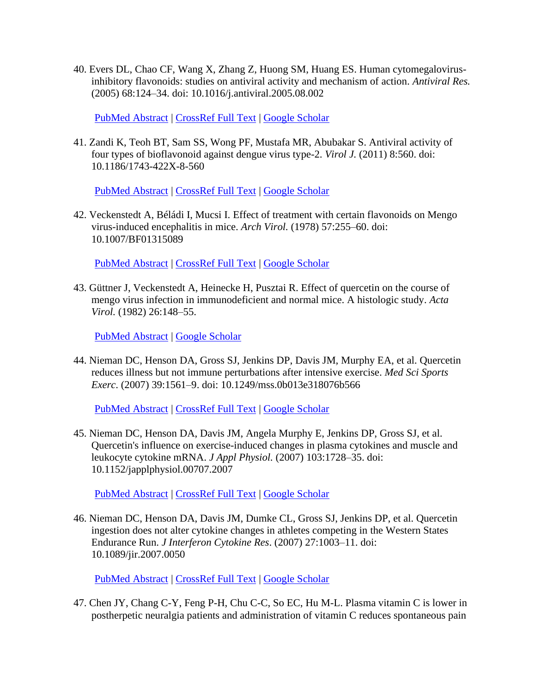40. Evers DL, Chao CF, Wang X, Zhang Z, Huong SM, Huang ES. Human cytomegalovirusinhibitory flavonoids: studies on antiviral activity and mechanism of action. *Antiviral Res.* (2005) 68:124–34. doi: 10.1016/j.antiviral.2005.08.002

[PubMed Abstract](http://www.ncbi.nlm.nih.gov/sites/entrez?Db=pubmed&Cmd=ShowDetailView&TermToSearch=16188329) | [CrossRef Full Text](https://doi.org/10.1016/j.antiviral.2005.08.002) | [Google Scholar](http://scholar.google.com/scholar_lookup?author=DL.+Evers&author=CF.+Chao&author=X.+Wang&author=Z.+Zhang&author=SM.+Huong&author=ES.+Huang+&publication_year=2005&title=Human+cytomegalovirus-inhibitory+flavonoids%3A+studies+on+antiviral+activity+and+mechanism+of+action&journal=Antiviral+Res.&volume=68&pages=124-34)

41. Zandi K, Teoh BT, Sam SS, Wong PF, Mustafa MR, Abubakar S. Antiviral activity of four types of bioflavonoid against dengue virus type-2. *Virol J.* (2011) 8:560. doi: 10.1186/1743-422X-8-560

[PubMed Abstract](http://www.ncbi.nlm.nih.gov/sites/entrez?Db=pubmed&Cmd=ShowDetailView&TermToSearch=22201648) | [CrossRef Full Text](https://doi.org/10.1186/1743-422X-8-560) | [Google Scholar](http://scholar.google.com/scholar_lookup?author=K.+Zandi&author=BT.+Teoh&author=SS.+Sam&author=PF.+Wong&author=MR.+Mustafa&author=S.+Abubakar+&publication_year=2011&title=Antiviral+activity+of+four+types+of+bioflavonoid+against+dengue+virus+type-2&journal=Virol+J.&volume=8&pages=560)

42. Veckenstedt A, Béládi I, Mucsi I. Effect of treatment with certain flavonoids on Mengo virus-induced encephalitis in mice. *Arch Virol.* (1978) 57:255–60. doi: 10.1007/BF01315089

[PubMed Abstract](http://www.ncbi.nlm.nih.gov/sites/entrez?Db=pubmed&Cmd=ShowDetailView&TermToSearch=209770) | [CrossRef Full Text](https://doi.org/10.1007/BF01315089) | [Google Scholar](http://scholar.google.com/scholar_lookup?author=A.+Veckenstedt&author=I.+Béládi&author=I.+Mucsi+&publication_year=1978&title=Effect+of+treatment+with+certain+flavonoids+on+Mengo+virus-induced+encephalitis+in+mice&journal=Arch+Virol.&volume=57&pages=255-60)

43. Güttner J, Veckenstedt A, Heinecke H, Pusztai R. Effect of quercetin on the course of mengo virus infection in immunodeficient and normal mice. A histologic study. *Acta Virol.* (1982) 26:148–55.

[PubMed Abstract](http://www.ncbi.nlm.nih.gov/sites/entrez?Db=pubmed&Cmd=ShowDetailView&TermToSearch=6127014) | [Google Scholar](http://scholar.google.com/scholar_lookup?author=J.+Güttner&author=A.+Veckenstedt&author=H.+Heinecke&author=R.+Pusztai+&publication_year=1982&title=Effect+of+quercetin+on+the+course+of+mengo+virus+infection+in+immunodeficient+and+normal+mice.+A+histologic+study&journal=Acta+Virol.&volume=26&pages=148-55)

44. Nieman DC, Henson DA, Gross SJ, Jenkins DP, Davis JM, Murphy EA, et al. Quercetin reduces illness but not immune perturbations after intensive exercise. *Med Sci Sports Exerc*. (2007) 39:1561–9. doi: 10.1249/mss.0b013e318076b566

[PubMed Abstract](http://www.ncbi.nlm.nih.gov/sites/entrez?Db=pubmed&Cmd=ShowDetailView&TermToSearch=17805089) | [CrossRef Full Text](https://doi.org/10.1249/mss.0b013e318076b566) | [Google Scholar](http://scholar.google.com/scholar_lookup?author=DC.+Nieman&author=DA.+Henson&author=SJ.+Gross&author=DP.+Jenkins&author=JM.+Davis&author=EA.+Murphy+&publication_year=2007&title=Quercetin+reduces+illness+but+not+immune+perturbations+after+intensive+exercise&journal=Med+Sci+Sports+Exerc&volume=39&pages=1561-9)

45. Nieman DC, Henson DA, Davis JM, Angela Murphy E, Jenkins DP, Gross SJ, et al. Quercetin's influence on exercise-induced changes in plasma cytokines and muscle and leukocyte cytokine mRNA. *J Appl Physiol.* (2007) 103:1728–35. doi: 10.1152/japplphysiol.00707.2007

[PubMed Abstract](http://www.ncbi.nlm.nih.gov/sites/entrez?Db=pubmed&Cmd=ShowDetailView&TermToSearch=17717114) | [CrossRef Full Text](https://doi.org/10.1152/japplphysiol.00707.2007) | [Google Scholar](http://scholar.google.com/scholar_lookup?author=DC.+Nieman&author=DA.+Henson&author=JM.+Davis&author=E.+Angela+Murphy&author=DP.+Jenkins&author=SJ.+Gross+&publication_year=2007&title=Quercetin)

46. Nieman DC, Henson DA, Davis JM, Dumke CL, Gross SJ, Jenkins DP, et al. Quercetin ingestion does not alter cytokine changes in athletes competing in the Western States Endurance Run. *J Interferon Cytokine Res*. (2007) 27:1003–11. doi: 10.1089/jir.2007.0050

[PubMed Abstract](http://www.ncbi.nlm.nih.gov/sites/entrez?Db=pubmed&Cmd=ShowDetailView&TermToSearch=18184041) | [CrossRef Full Text](https://doi.org/10.1089/jir.2007.0050) | [Google Scholar](http://scholar.google.com/scholar_lookup?author=DC.+Nieman&author=DA.+Henson&author=JM.+Davis&author=CL.+Dumke&author=SJ.+Gross&author=DP.+Jenkins+&publication_year=2007&title=Quercetin+ingestion+does+not+alter+cytokine+changes+in+athletes+competing+in+the+Western+States+Endurance+Run&journal=J+Interferon+Cytokine+Res&volume=27&pages=1003-11)

47. Chen JY, Chang C-Y, Feng P-H, Chu C-C, So EC, Hu M-L. Plasma vitamin C is lower in postherpetic neuralgia patients and administration of vitamin C reduces spontaneous pain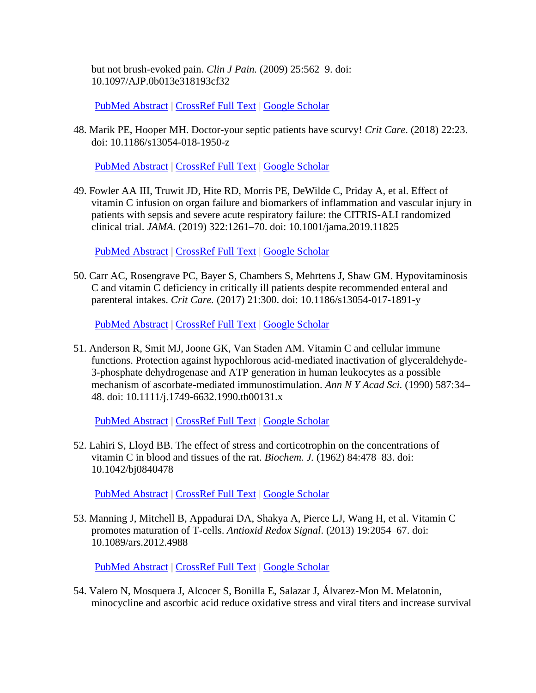but not brush-evoked pain. *Clin J Pain.* (2009) 25:562–9. doi: 10.1097/AJP.0b013e318193cf32

[PubMed Abstract](http://www.ncbi.nlm.nih.gov/sites/entrez?Db=pubmed&Cmd=ShowDetailView&TermToSearch=19692796) | [CrossRef Full Text](https://doi.org/10.1097/AJP.0b013e318193cf32) | [Google Scholar](http://scholar.google.com/scholar_lookup?author=JY.+Chen&author=C-Y.+Chang&author=P-H.+Feng&author=C-C.+Chu&author=EC.+So&author=M-L.+Hu+&publication_year=2009&title=Plasma+vitamin+C+is+lower+in+postherpetic+neuralgia+patients+and+administration+of+vitamin+C+reduces+spontaneous+pain+but+not+brush-evoked+pain&journal=Clin+J+Pain.&volume=25&pages=562-9)

48. Marik PE, Hooper MH. Doctor-your septic patients have scurvy! *Crit Care*. (2018) 22:23. doi: 10.1186/s13054-018-1950-z

[PubMed Abstract](http://www.ncbi.nlm.nih.gov/sites/entrez?Db=pubmed&Cmd=ShowDetailView&TermToSearch=29378661) | [CrossRef Full Text](https://doi.org/10.1186/s13054-018-1950-z) | [Google Scholar](http://scholar.google.com/scholar_lookup?author=PE.+Marik&author=MH.+Hooper+&publication_year=2018&title=Doctor-your+septic+patients+have+scurvy!&journal=Crit+Care&volume=22&pages=23)

49. Fowler AA III, Truwit JD, Hite RD, Morris PE, DeWilde C, Priday A, et al. Effect of vitamin C infusion on organ failure and biomarkers of inflammation and vascular injury in patients with sepsis and severe acute respiratory failure: the CITRIS-ALI randomized clinical trial. *JAMA.* (2019) 322:1261–70. doi: 10.1001/jama.2019.11825

[PubMed Abstract](http://www.ncbi.nlm.nih.gov/sites/entrez?Db=pubmed&Cmd=ShowDetailView&TermToSearch=31573637) | [CrossRef Full Text](https://doi.org/10.1001/jama.2019.11825) | [Google Scholar](http://scholar.google.com/scholar_lookup?author=AA.+Fowler&author=JD.+Truwit&author=RD.+Hite&author=PE.+Morris&author=C.+DeWilde&author=A.+Priday+&publication_year=2019&title=Effect+of+vitamin+C+infusion+on+organ+failure+and+biomarkers+of+inflammation+and+vascular+injury+in+patients+with+sepsis+and+severe+acute+respiratory+failure%3A+the+CITRIS-ALI+randomized+clinical+trial&journal=JAMA.&volume=322&pages=1261-70)

50. Carr AC, Rosengrave PC, Bayer S, Chambers S, Mehrtens J, Shaw GM. Hypovitaminosis C and vitamin C deficiency in critically ill patients despite recommended enteral and parenteral intakes. *Crit Care.* (2017) 21:300. doi: 10.1186/s13054-017-1891-y

[PubMed Abstract](http://www.ncbi.nlm.nih.gov/sites/entrez?Db=pubmed&Cmd=ShowDetailView&TermToSearch=29228951) | [CrossRef Full Text](https://doi.org/10.1186/s13054-017-1891-y) | [Google Scholar](http://scholar.google.com/scholar_lookup?author=AC.+Carr&author=PC.+Rosengrave&author=S.+Bayer&author=S.+Chambers&author=J.+Mehrtens&author=GM.+Shaw+&publication_year=2017&title=Hypovitaminosis+C+and+vitamin+C+deficiency+in+critically+ill+patients+despite+recommended+enteral+and+parenteral+intakes&journal=Crit+Care.&volume=21&pages=300)

51. Anderson R, Smit MJ, Joone GK, Van Staden AM. Vitamin C and cellular immune functions. Protection against hypochlorous acid-mediated inactivation of glyceraldehyde-3-phosphate dehydrogenase and ATP generation in human leukocytes as a possible mechanism of ascorbate-mediated immunostimulation. *Ann N Y Acad Sci.* (1990) 587:34– 48. doi: 10.1111/j.1749-6632.1990.tb00131.x

[PubMed Abstract](http://www.ncbi.nlm.nih.gov/sites/entrez?Db=pubmed&Cmd=ShowDetailView&TermToSearch=2163229) | [CrossRef Full Text](https://doi.org/10.1111/j.1749-6632.1990.tb00131.x) | [Google Scholar](http://scholar.google.com/scholar_lookup?author=R.+Anderson&author=MJ.+Smit&author=GK.+Joone&author=AM.+Van+Staden+&publication_year=1990&title=Vitamin+C+and+cellular+immune+functions.+Protection+against+hypochlorous+acid-mediated+inactivation+of+glyceraldehyde-3-phosphate+dehydrogenase+and+ATP+generation+in+human+leukocytes+as+a+possible+mechanism+of+ascorbate-mediated+immunostimulation&journal=Ann+N+Y+Acad+Sci.&volume=587&pages=34-48)

52. Lahiri S, Lloyd BB. The effect of stress and corticotrophin on the concentrations of vitamin C in blood and tissues of the rat. *Biochem. J.* (1962) 84:478–83. doi: 10.1042/bj0840478

[PubMed Abstract](http://www.ncbi.nlm.nih.gov/sites/entrez?Db=pubmed&Cmd=ShowDetailView&TermToSearch=14461597) | [CrossRef Full Text](https://doi.org/10.1042/bj0840478) | [Google Scholar](http://scholar.google.com/scholar_lookup?author=S.+Lahiri&author=BB.+Lloyd+&publication_year=1962&title=The+effect+of+stress+and+corticotrophin+on+the+concentrations+of+vitamin+C+in+blood+and+tissues+of+the+rat&journal=Biochem.+J.&volume=84&pages=478-83)

53. Manning J, Mitchell B, Appadurai DA, Shakya A, Pierce LJ, Wang H, et al. Vitamin C promotes maturation of T-cells. *Antioxid Redox Signal*. (2013) 19:2054–67. doi: 10.1089/ars.2012.4988

[PubMed Abstract](http://www.ncbi.nlm.nih.gov/sites/entrez?Db=pubmed&Cmd=ShowDetailView&TermToSearch=23249337) | [CrossRef Full Text](https://doi.org/10.1089/ars.2012.4988) | [Google Scholar](http://scholar.google.com/scholar_lookup?author=J.+Manning&author=B.+Mitchell&author=DA.+Appadurai&author=A.+Shakya&author=LJ.+Pierce&author=H.+Wang+&publication_year=2013&title=Vitamin+C+promotes+maturation+of+T-cells&journal=Antioxid+Redox+Signal&volume=19&pages=2054-67)

54. Valero N, Mosquera J, Alcocer S, Bonilla E, Salazar J, Álvarez-Mon M. Melatonin, minocycline and ascorbic acid reduce oxidative stress and viral titers and increase survival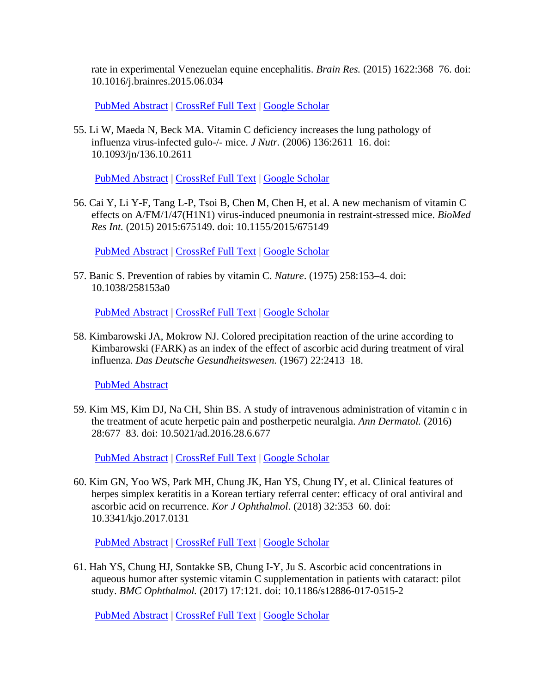rate in experimental Venezuelan equine encephalitis. *Brain Res.* (2015) 1622:368–76. doi: 10.1016/j.brainres.2015.06.034

[PubMed Abstract](http://www.ncbi.nlm.nih.gov/sites/entrez?Db=pubmed&Cmd=ShowDetailView&TermToSearch=26168898) | [CrossRef Full Text](https://doi.org/10.1016/j.brainres.2015.06.034) | [Google Scholar](http://scholar.google.com/scholar_lookup?author=N.+Valero&author=J.+Mosquera&author=S.+Alcocer&author=E.+Bonilla&author=J.+Salazar&author=M.+Álvarez-Mon+&publication_year=2015&title=Melatonin,+minocycline+and+ascorbic+acid+reduce+oxidative+stress+and+viral+titers+and+increase+survival+rate+in+experimental+Venezuelan+equine+encephalitis&journal=Brain+Res.&volume=1622&pages=368-76)

55. Li W, Maeda N, Beck MA. Vitamin C deficiency increases the lung pathology of influenza virus-infected gulo-/- mice. *J Nutr.* (2006) 136:2611–16. doi: 10.1093/jn/136.10.2611

[PubMed Abstract](http://www.ncbi.nlm.nih.gov/sites/entrez?Db=pubmed&Cmd=ShowDetailView&TermToSearch=16988135) | [CrossRef Full Text](https://doi.org/10.1093/jn/136.10.2611) | [Google Scholar](http://scholar.google.com/scholar_lookup?author=W.+Li&author=N.+Maeda&author=MA.+Beck+&publication_year=2006&title=Vitamin+C+deficiency+increases+the+lung+pathology+of+influenza+virus-infected+gulo-%2F-+mice&journal=J+Nutr.&volume=136&pages=2611-16)

56. Cai Y, Li Y-F, Tang L-P, Tsoi B, Chen M, Chen H, et al. A new mechanism of vitamin C effects on A/FM/1/47(H1N1) virus-induced pneumonia in restraint-stressed mice. *BioMed Res Int.* (2015) 2015:675149. doi: 10.1155/2015/675149

[PubMed Abstract](http://www.ncbi.nlm.nih.gov/sites/entrez?Db=pubmed&Cmd=ShowDetailView&TermToSearch=25710018) | [CrossRef Full Text](https://doi.org/10.1155/2015/675149) | [Google Scholar](http://scholar.google.com/scholar_lookup?author=Y.+Cai&author=Y-F.+Li&author=L-P.+Tang&author=B.+Tsoi&author=M.+Chen&author=H.+Chen+&publication_year=2015&title=A+new+mechanism+of+vitamin+C+effects+on+A%2FFM%2F1%2F47(H1N1)+virus-induced+pneumonia+in+restraint-stressed+mice&journal=BioMed+Res+Int.&volume=2015&pages=675149)

57. Banic S. Prevention of rabies by vitamin C. *Nature*. (1975) 258:153–4. doi: 10.1038/258153a0

[PubMed Abstract](http://www.ncbi.nlm.nih.gov/sites/entrez?Db=pubmed&Cmd=ShowDetailView&TermToSearch=1191395) | [CrossRef Full Text](https://doi.org/10.1038/258153a0) | [Google Scholar](http://scholar.google.com/scholar_lookup?author=S.+Banic+&publication_year=1975&title=Prevention+of+rabies+by+vitamin+C&journal=Nature&volume=258&pages=153-4)

58. Kimbarowski JA, Mokrow NJ. Colored precipitation reaction of the urine according to Kimbarowski (FARK) as an index of the effect of ascorbic acid during treatment of viral influenza. *Das Deutsche Gesundheitswesen.* (1967) 22:2413–18.

[PubMed Abstract](http://www.ncbi.nlm.nih.gov/sites/entrez?Db=pubmed&Cmd=ShowDetailView&TermToSearch=5614915)

59. Kim MS, Kim DJ, Na CH, Shin BS. A study of intravenous administration of vitamin c in the treatment of acute herpetic pain and postherpetic neuralgia. *Ann Dermatol.* (2016) 28:677–83. doi: 10.5021/ad.2016.28.6.677

[PubMed Abstract](http://www.ncbi.nlm.nih.gov/sites/entrez?Db=pubmed&Cmd=ShowDetailView&TermToSearch=27904265) | [CrossRef Full Text](https://doi.org/10.5021/ad.2016.28.6.677) | [Google Scholar](http://scholar.google.com/scholar_lookup?author=MS.+Kim&author=DJ.+Kim&author=CH.+Na&author=BS.+Shin+&publication_year=2016&title=A+study+of+intravenous+administration+of+vitamin+c+in+the+treatment+of+acute+herpetic+pain+and+postherpetic+neuralgia&journal=Ann+Dermatol.&volume=28&pages=677-83)

60. Kim GN, Yoo WS, Park MH, Chung JK, Han YS, Chung IY, et al. Clinical features of herpes simplex keratitis in a Korean tertiary referral center: efficacy of oral antiviral and ascorbic acid on recurrence. *Kor J Ophthalmol*. (2018) 32:353–60. doi: 10.3341/kjo.2017.0131

[PubMed Abstract](http://www.ncbi.nlm.nih.gov/sites/entrez?Db=pubmed&Cmd=ShowDetailView&TermToSearch=30311457) | [CrossRef Full Text](https://doi.org/10.3341/kjo.2017.0131) | [Google Scholar](http://scholar.google.com/scholar_lookup?author=GN.+Kim&author=WS.+Yoo&author=MH.+Park&author=JK.+Chung&author=YS.+Han&author=IY.+Chung+&publication_year=2018&title=Clinical+features+of+herpes+simplex+keratitis+in+a+Korean+tertiary+referral+center%3A+efficacy+of+oral+antiviral+and+ascorbic+acid+on+recurrence&journal=Kor+J+Ophthalmol&volume=32&pages=353-60)

61. Hah YS, Chung HJ, Sontakke SB, Chung I-Y, Ju S. Ascorbic acid concentrations in aqueous humor after systemic vitamin C supplementation in patients with cataract: pilot study. *BMC Ophthalmol.* (2017) 17:121. doi: 10.1186/s12886-017-0515-2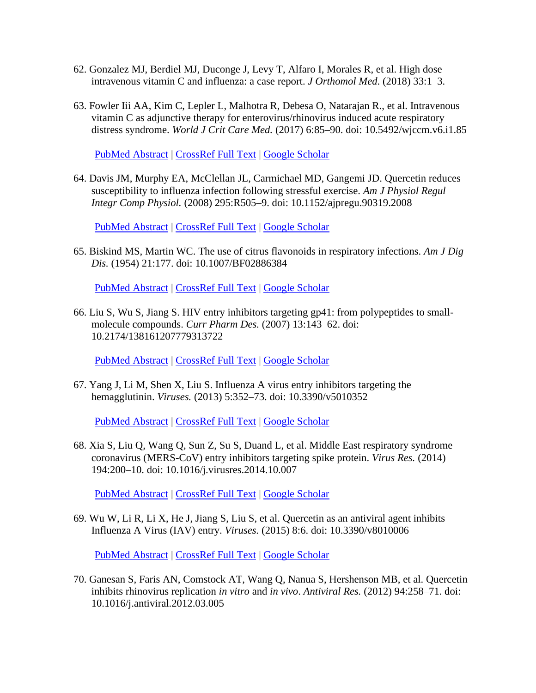- 62. Gonzalez MJ, Berdiel MJ, Duconge J, Levy T, Alfaro I, Morales R, et al. High dose intravenous vitamin C and influenza: a case report. *J Orthomol Med*. (2018) 33:1–3.
- 63. Fowler Iii AA, Kim C, Lepler L, Malhotra R, Debesa O, Natarajan R., et al. Intravenous vitamin C as adjunctive therapy for enterovirus/rhinovirus induced acute respiratory distress syndrome. *World J Crit Care Med.* (2017) 6:85–90. doi: 10.5492/wjccm.v6.i1.85

[PubMed Abstract](http://www.ncbi.nlm.nih.gov/sites/entrez?Db=pubmed&Cmd=ShowDetailView&TermToSearch=28224112) | [CrossRef Full Text](https://doi.org/10.5492/wjccm.v6.i1.85) | [Google Scholar](http://scholar.google.com/scholar_lookup?author=AA.+Fowler+Iii&author=C.+Kim&author=L.+Lepler&author=R.+Malhotra&author=O.+Debesa&author=R.+Natarajan+&publication_year=2017&title=Intravenous+vitamin+C+as+adjunctive+therapy+for+enterovirus%2Frhinovirus+induced+acute+respiratory+distress+syndrome&journal=World+J+Crit+Care+Med.&volume=6&pages=85-90)

64. Davis JM, Murphy EA, McClellan JL, Carmichael MD, Gangemi JD. Quercetin reduces susceptibility to influenza infection following stressful exercise. *Am J Physiol Regul Integr Comp Physiol.* (2008) 295:R505–9. doi: 10.1152/ajpregu.90319.2008

[PubMed Abstract](http://www.ncbi.nlm.nih.gov/sites/entrez?Db=pubmed&Cmd=ShowDetailView&TermToSearch=18579649) | [CrossRef Full Text](https://doi.org/10.1152/ajpregu.90319.2008) | [Google Scholar](http://scholar.google.com/scholar_lookup?author=JM.+Davis&author=EA.+Murphy&author=JL.+McClellan&author=MD.+Carmichael&author=JD.+Gangemi+&publication_year=2008&title=Quercetin+reduces+susceptibility+to+influenza+infection+following+stressful+exercise&journal=Am+J+Physiol+Regul+Integr+Comp+Physiol.&volume=295&pages=R505-9)

65. Biskind MS, Martin WC. The use of citrus flavonoids in respiratory infections. *Am J Dig Dis.* (1954) 21:177. doi: 10.1007/BF02886384

[PubMed Abstract](http://www.ncbi.nlm.nih.gov/sites/entrez?Db=pubmed&Cmd=ShowDetailView&TermToSearch=13171355) | [CrossRef Full Text](https://doi.org/10.1007/BF02886384) | [Google Scholar](http://scholar.google.com/scholar_lookup?author=MS.+Biskind&author=WC.+Martin+&publication_year=1954&title=The+use+of+citrus+flavonoids+in+respiratory+infections&journal=Am+J+Dig+Dis.&volume=21&pages=177)

66. Liu S, Wu S, Jiang S. HIV entry inhibitors targeting gp41: from polypeptides to smallmolecule compounds. *Curr Pharm Des.* (2007) 13:143–62. doi: 10.2174/138161207779313722

[PubMed Abstract](http://www.ncbi.nlm.nih.gov/sites/entrez?Db=pubmed&Cmd=ShowDetailView&TermToSearch=17269924) | [CrossRef Full Text](https://doi.org/10.2174/138161207779313722) | [Google Scholar](http://scholar.google.com/scholar_lookup?author=S.+Liu&author=S.+Wu&author=S.+Jiang+&publication_year=2007&title=HIV+entry+inhibitors+targeting+gp41%3A+from+polypeptides+to+small-molecule+compounds&journal=Curr+Pharm+Des.&volume=13&pages=143-62)

67. Yang J, Li M, Shen X, Liu S. Influenza A virus entry inhibitors targeting the hemagglutinin. *Viruses.* (2013) 5:352–73. doi: 10.3390/v5010352

[PubMed Abstract](http://www.ncbi.nlm.nih.gov/sites/entrez?Db=pubmed&Cmd=ShowDetailView&TermToSearch=23340380) | [CrossRef Full Text](https://doi.org/10.3390/v5010352) | [Google Scholar](http://scholar.google.com/scholar_lookup?author=J.+Yang&author=M.+Li&author=X.+Shen&author=S.+Liu+&publication_year=2013&title=Influenza+A+virus+entry+inhibitors+targeting+the+hemagglutinin&journal=Viruses.&volume=5&pages=352-73)

68. Xia S, Liu Q, Wang Q, Sun Z, Su S, Duand L, et al. Middle East respiratory syndrome coronavirus (MERS-CoV) entry inhibitors targeting spike protein. *Virus Res.* (2014) 194:200–10. doi: 10.1016/j.virusres.2014.10.007

[PubMed Abstract](http://www.ncbi.nlm.nih.gov/sites/entrez?Db=pubmed&Cmd=ShowDetailView&TermToSearch=25451066) | [CrossRef Full Text](https://doi.org/10.1016/j.virusres.2014.10.007) | [Google Scholar](http://scholar.google.com/scholar_lookup?author=S.+Xia&author=Q.+Liu&author=Q.+Wang&author=Z.+Sun&author=S.+Su&author=L.+Duand+&publication_year=2014&title=Middle+East+respiratory+syndrome+coronavirus+(MERS-CoV)+entry+inhibitors+targeting+spike+protein&journal=Virus+Res.&volume=194&pages=200-10)

69. Wu W, Li R, Li X, He J, Jiang S, Liu S, et al. Quercetin as an antiviral agent inhibits Influenza A Virus (IAV) entry. *Viruses.* (2015) 8:6. doi: 10.3390/v8010006

[PubMed Abstract](http://www.ncbi.nlm.nih.gov/sites/entrez?Db=pubmed&Cmd=ShowDetailView&TermToSearch=26712783) | [CrossRef Full Text](https://doi.org/10.3390/v8010006) | [Google Scholar](http://scholar.google.com/scholar_lookup?author=W.+Wu&author=R.+Li&author=X.+Li&author=J.+He&author=S.+Jiang&author=S.+Liu+&publication_year=2015&title=Quercetin+as+an+antiviral+agent+inhibits+Influenza+A+Virus+(IAV)+entry&journal=Viruses.&volume=8&pages=6)

70. Ganesan S, Faris AN, Comstock AT, Wang Q, Nanua S, Hershenson MB, et al. Quercetin inhibits rhinovirus replication *in vitro* and *in vivo*. *Antiviral Res.* (2012) 94:258–71. doi: 10.1016/j.antiviral.2012.03.005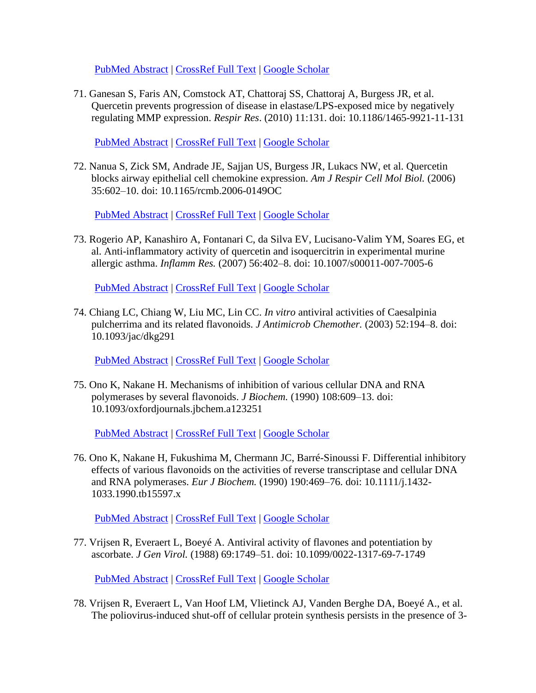[PubMed Abstract](http://www.ncbi.nlm.nih.gov/sites/entrez?Db=pubmed&Cmd=ShowDetailView&TermToSearch=22465313) | [CrossRef Full Text](https://doi.org/10.1016/j.antiviral.2012.03.005) | [Google Scholar](http://scholar.google.com/scholar_lookup?author=S.+Ganesan&author=AN.+Faris&author=AT.+Comstock&author=Q.+Wang&author=S.+Nanua&author=MB.+Hershenson+&publication_year=2012&title=Quercetin+inhibits+rhinovirus+replication+in+vitro+and+in+vivo&journal=Antiviral+Res.&volume=94&pages=258-71)

71. Ganesan S, Faris AN, Comstock AT, Chattoraj SS, Chattoraj A, Burgess JR, et al. Quercetin prevents progression of disease in elastase/LPS-exposed mice by negatively regulating MMP expression. *Respir Res*. (2010) 11:131. doi: 10.1186/1465-9921-11-131

[PubMed Abstract](http://www.ncbi.nlm.nih.gov/sites/entrez?Db=pubmed&Cmd=ShowDetailView&TermToSearch=20920189) | [CrossRef Full Text](https://doi.org/10.1186/1465-9921-11-131) | [Google Scholar](http://scholar.google.com/scholar_lookup?author=S.+Ganesan&author=AN.+Faris&author=AT.+Comstock&author=SS.+Chattoraj&author=A.+Chattoraj&author=JR.+Burgess+&publication_year=2010&title=Quercetin+prevents+progression+of+disease+in+elastase%2FLPS-exposed+mice+by+negatively+regulating+MMP+expression&journal=Respir+Res&volume=11&pages=131)

72. Nanua S, Zick SM, Andrade JE, Sajjan US, Burgess JR, Lukacs NW, et al. Quercetin blocks airway epithelial cell chemokine expression. *Am J Respir Cell Mol Biol.* (2006) 35:602–10. doi: 10.1165/rcmb.2006-0149OC

[PubMed Abstract](http://www.ncbi.nlm.nih.gov/sites/entrez?Db=pubmed&Cmd=ShowDetailView&TermToSearch=16794257) | [CrossRef Full Text](https://doi.org/10.1165/rcmb.2006-0149OC) | [Google Scholar](http://scholar.google.com/scholar_lookup?author=S.+Nanua&author=SM.+Zick&author=JE.+Andrade&author=US.+Sajjan&author=JR.+Burgess&author=NW.+Lukacs+&publication_year=2006&title=Quercetin+blocks+airway+epithelial+cell+chemokine+expression&journal=Am+J+Respir+Cell+Mol+Biol.&volume=35&pages=602-10)

73. Rogerio AP, Kanashiro A, Fontanari C, da Silva EV, Lucisano-Valim YM, Soares EG, et al. Anti-inflammatory activity of quercetin and isoquercitrin in experimental murine allergic asthma. *Inflamm Res.* (2007) 56:402–8. doi: 10.1007/s00011-007-7005-6

[PubMed Abstract](http://www.ncbi.nlm.nih.gov/sites/entrez?Db=pubmed&Cmd=ShowDetailView&TermToSearch=18026696) | [CrossRef Full Text](https://doi.org/10.1007/s00011-007-7005-6) | [Google Scholar](http://scholar.google.com/scholar_lookup?author=AP.+Rogerio&author=A.+Kanashiro&author=C.+Fontanari&author=EV.+da+Silva&author=YM.+Lucisano-Valim&author=EG.+Soares+&publication_year=2007&title=Anti-inflammatory+activity+of+quercetin+and+isoquercitrin+in+experimental+murine+allergic+asthma&journal=Inflamm+Res.&volume=56&pages=402-8)

74. Chiang LC, Chiang W, Liu MC, Lin CC. *In vitro* antiviral activities of Caesalpinia pulcherrima and its related flavonoids. *J Antimicrob Chemother.* (2003) 52:194–8. doi: 10.1093/jac/dkg291

[PubMed Abstract](http://www.ncbi.nlm.nih.gov/sites/entrez?Db=pubmed&Cmd=ShowDetailView&TermToSearch=12837746) | [CrossRef Full Text](https://doi.org/10.1093/jac/dkg291) | [Google Scholar](http://scholar.google.com/scholar_lookup?author=LC.+Chiang&author=W.+Chiang&author=MC.+Liu&author=CC.+Lin+&publication_year=2003&title=In+vitro+antiviral+activities+of+Caesalpinia+pulcherrima+and+its+related+flavonoids&journal=J+Antimicrob+Chemother.&volume=52&pages=194-8)

75. Ono K, Nakane H. Mechanisms of inhibition of various cellular DNA and RNA polymerases by several flavonoids. *J Biochem.* (1990) 108:609–13. doi: 10.1093/oxfordjournals.jbchem.a123251

[PubMed Abstract](http://www.ncbi.nlm.nih.gov/sites/entrez?Db=pubmed&Cmd=ShowDetailView&TermToSearch=2292590) | [CrossRef Full Text](https://doi.org/10.1093/oxfordjournals.jbchem.a123251) | [Google Scholar](http://scholar.google.com/scholar_lookup?author=K.+Ono&author=H.+Nakane+&publication_year=1990&title=Mechanisms+of+inhibition+of+various+cellular+DNA+and+RNA+polymerases+by+several+flavonoids&journal=J+Biochem.&volume=108&pages=609-13)

76. Ono K, Nakane H, Fukushima M, Chermann JC, Barré-Sinoussi F. Differential inhibitory effects of various flavonoids on the activities of reverse transcriptase and cellular DNA and RNA polymerases. *Eur J Biochem.* (1990) 190:469–76. doi: 10.1111/j.1432- 1033.1990.tb15597.x

[PubMed Abstract](http://www.ncbi.nlm.nih.gov/sites/entrez?Db=pubmed&Cmd=ShowDetailView&TermToSearch=1695572) | [CrossRef Full Text](https://doi.org/10.1111/j.1432-1033.1990.tb15597.x) | [Google Scholar](http://scholar.google.com/scholar_lookup?author=K.+Ono&author=H.+Nakane&author=M.+Fukushima&author=JC.+Chermann&author=F.+Barré-Sinoussi+&publication_year=1990&title=Differential+inhibitory+effects+of+various+flavonoids+on+the+activities+of+reverse+transcriptase+and+cellular+DNA+and+RNA+polymerases&journal=Eur+J+Biochem.&volume=190&pages=469-76)

77. Vrijsen R, Everaert L, Boeyé A. Antiviral activity of flavones and potentiation by ascorbate. *J Gen Virol.* (1988) 69:1749–51. doi: 10.1099/0022-1317-69-7-1749

[PubMed](http://www.ncbi.nlm.nih.gov/sites/entrez?Db=pubmed&Cmd=ShowDetailView&TermToSearch=2839607) Abstract | [CrossRef Full Text](https://doi.org/10.1099/0022-1317-69-7-1749) | [Google Scholar](http://scholar.google.com/scholar_lookup?author=R.+Vrijsen&author=L.+Everaert&author=A.+Boeyé+&publication_year=1988&title=Antiviral+activity+of+flavones+and+potentiation+by+ascorbate&journal=J+Gen+Virol.&volume=69&pages=1749-51)

78. Vrijsen R, Everaert L, Van Hoof LM, Vlietinck AJ, Vanden Berghe DA, Boeyé A., et al. The poliovirus-induced shut-off of cellular protein synthesis persists in the presence of 3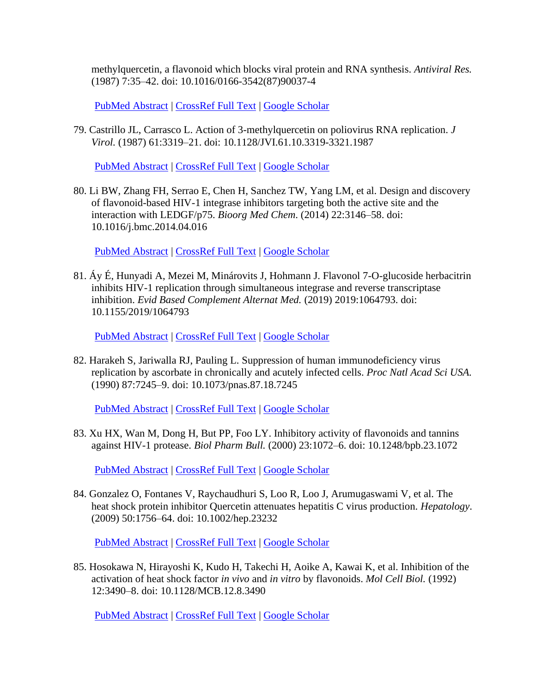methylquercetin, a flavonoid which blocks viral protein and RNA synthesis. *Antiviral Res.* (1987) 7:35–42. doi: 10.1016/0166-3542(87)90037-4

[PubMed Abstract](http://www.ncbi.nlm.nih.gov/sites/entrez?Db=pubmed&Cmd=ShowDetailView&TermToSearch=3026245) | [CrossRef Full Text](https://doi.org/10.1016/0166-3542(87)90037-4) | [Google Scholar](http://scholar.google.com/scholar_lookup?author=R.+Vrijsen&author=L.+Everaert&author=LM.+Van+Hoof&author=AJ.+Vlietinck&author=DA.+Vanden+Berghe&author=A.+Boeyé+&publication_year=1987&title=The+poliovirus-induced+shut-off+of+cellular+protein+synthesis+persists+in+the+presence+of+3-methylquercetin,+a+flavonoid+which+blocks+viral+protein+and+RNA+synthesis&journal=Antiviral+Res.&volume=7&pages=35-42)

79. Castrillo JL, Carrasco L. Action of 3-methylquercetin on poliovirus RNA replication. *J Virol.* (1987) 61:3319–21. doi: 10.1128/JVI.61.10.3319-3321.1987

[PubMed Abstract](http://www.ncbi.nlm.nih.gov/sites/entrez?Db=pubmed&Cmd=ShowDetailView&TermToSearch=2442414) | [CrossRef Full Text](https://doi.org/10.1128/JVI.61.10.3319-3321.1987) | [Google Scholar](http://scholar.google.com/scholar_lookup?author=JL.+Castrillo&author=L.+Carrasco+&publication_year=1987&title=Action+of+3-methylquercetin+on+poliovirus+RNA+replication&journal=J+Virol.&volume=61&pages=3319-21)

80. Li BW, Zhang FH, Serrao E, Chen H, Sanchez TW, Yang LM, et al. Design and discovery of flavonoid-based HIV-1 integrase inhibitors targeting both the active site and the interaction with LEDGF/p75. *Bioorg Med Chem*. (2014) 22:3146–58. doi: 10.1016/j.bmc.2014.04.016

[PubMed Abstract](http://www.ncbi.nlm.nih.gov/sites/entrez?Db=pubmed&Cmd=ShowDetailView&TermToSearch=24794743) | [CrossRef Full Text](https://doi.org/10.1016/j.bmc.2014.04.016) | [Google Scholar](http://scholar.google.com/scholar_lookup?author=BW.+Li&author=FH.+Zhang&author=E.+Serrao&author=H.+Chen&author=TW.+Sanchez&author=LM.+Yang+&publication_year=2014&title=Design+and+discovery+of+flavonoid-based+HIV-1+integrase+inhibitors+targeting+both+the+active+site+and+the+interaction+with+LEDGF%2Fp75&journal=Bioorg+Med+Chem&volume=22&pages=3146-58)

81. Áy É, Hunyadi A, Mezei M, Minárovits J, Hohmann J. Flavonol 7-O-glucoside herbacitrin inhibits HIV-1 replication through simultaneous integrase and reverse transcriptase inhibition. *Evid Based Complement Alternat Med.* (2019) 2019:1064793. doi: 10.1155/2019/1064793

[PubMed Abstract](http://www.ncbi.nlm.nih.gov/sites/entrez?Db=pubmed&Cmd=ShowDetailView&TermToSearch=30853999) | [CrossRef Full Text](https://doi.org/10.1155/2019/1064793) | [Google Scholar](http://scholar.google.com/scholar_lookup?author=É.+Áy&author=A.+Hunyadi&author=M.+Mezei&author=J.+Minárovits&author=J.+Hohmann+&publication_year=2019&title=Flavonol+7-O-glucoside+herbacitrin+inhibits+HIV-1+replication+through+simultaneous+integrase+and+reverse+transcriptase+inhibition&journal=Evid+Based+Complement+Alternat+Med.&volume=2019&pages=1064793)

82. Harakeh S, Jariwalla RJ, Pauling L. Suppression of human immunodeficiency virus replication by ascorbate in chronically and acutely infected cells. *Proc Natl Acad Sci USA.* (1990) 87:7245–9. doi: 10.1073/pnas.87.18.7245

[PubMed Abstract](http://www.ncbi.nlm.nih.gov/sites/entrez?Db=pubmed&Cmd=ShowDetailView&TermToSearch=1698293) | [CrossRef Full Text](https://doi.org/10.1073/pnas.87.18.7245) | [Google Scholar](http://scholar.google.com/scholar_lookup?author=S.+Harakeh&author=RJ.+Jariwalla&author=L.+Pauling+&publication_year=1990&title=Suppression+of+human+immunodeficiency+virus+replication+by+ascorbate+in+chronically+and+acutely+infected+cells&journal=Proc+Natl+Acad+Sci+USA.&volume=87&pages=7245-9)

83. Xu HX, Wan M, Dong H, But PP, Foo LY. Inhibitory activity of flavonoids and tannins against HIV-1 protease. *Biol Pharm Bull.* (2000) 23:1072–6. doi: 10.1248/bpb.23.1072

[PubMed Abstract](http://www.ncbi.nlm.nih.gov/sites/entrez?Db=pubmed&Cmd=ShowDetailView&TermToSearch=10993207) | [CrossRef Full Text](https://doi.org/10.1248/bpb.23.1072) | [Google Scholar](http://scholar.google.com/scholar_lookup?author=HX.+Xu&author=M.+Wan&author=H.+Dong&author=PP.+But&author=LY.+Foo+&publication_year=2000&title=Inhibitory+activity+of+flavonoids+and+tannins+against+HIV-1+protease&journal=Biol+Pharm+Bull.&volume=23&pages=1072-6)

84. Gonzalez O, Fontanes V, Raychaudhuri S, Loo R, Loo J, Arumugaswami V, et al. The heat shock protein inhibitor Quercetin attenuates hepatitis C virus production. *Hepatology*. (2009) 50:1756–64. doi: 10.1002/hep.23232

[PubMed Abstract](http://www.ncbi.nlm.nih.gov/sites/entrez?Db=pubmed&Cmd=ShowDetailView&TermToSearch=19839005) | [CrossRef Full Text](https://doi.org/10.1002/hep.23232) | [Google Scholar](http://scholar.google.com/scholar_lookup?author=O.+Gonzalez&author=V.+Fontanes&author=S.+Raychaudhuri&author=R.+Loo&author=J.+Loo&author=V.+Arumugaswami+&publication_year=2009&title=The+heat+shock+protein+inhibitor+Quercetin+attenuates+hepatitis+C+virus+production&journal=Hepatology&volume=50&pages=1756-64)

85. Hosokawa N, Hirayoshi K, Kudo H, Takechi H, Aoike A, Kawai K, et al. Inhibition of the activation of heat shock factor *in vivo* and *in vitro* by flavonoids. *Mol Cell Biol.* (1992) 12:3490–8. doi: 10.1128/MCB.12.8.3490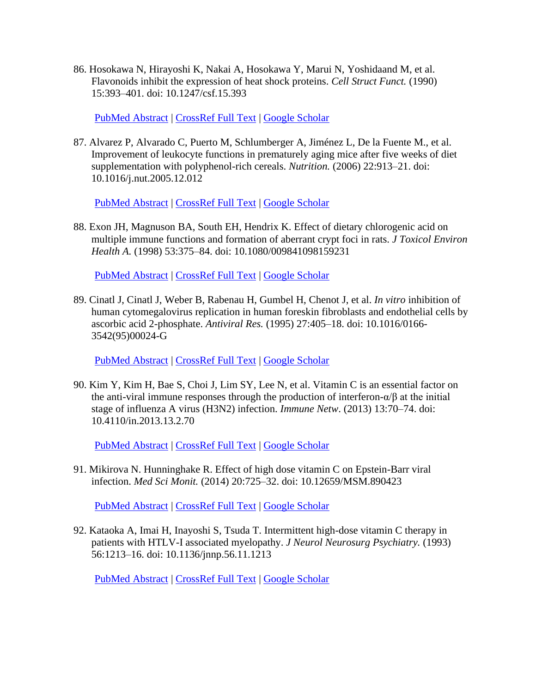86. Hosokawa N, Hirayoshi K, Nakai A, Hosokawa Y, Marui N, Yoshidaand M, et al. Flavonoids inhibit the expression of heat shock proteins. *Cell Struct Funct.* (1990) 15:393–401. doi: 10.1247/csf.15.393

[PubMed Abstract](http://www.ncbi.nlm.nih.gov/sites/entrez?Db=pubmed&Cmd=ShowDetailView&TermToSearch=2085852) | [CrossRef Full Text](https://doi.org/10.1247/csf.15.393) | [Google Scholar](http://scholar.google.com/scholar_lookup?author=N.+Hosokawa&author=K.+Hirayoshi&author=A.+Nakai&author=Y.+Hosokawa&author=N.+Marui&author=M.+Yoshidaand+&publication_year=1990&title=Flavonoids+inhibit+the+expression+of+heat+shock+proteins&journal=Cell+Struct+Funct.&volume=15&pages=393-401)

87. Alvarez P, Alvarado C, Puerto M, Schlumberger A, Jiménez L, De la Fuente M., et al. Improvement of leukocyte functions in prematurely aging mice after five weeks of diet supplementation with polyphenol-rich cereals. *Nutrition.* (2006) 22:913–21. doi: 10.1016/j.nut.2005.12.012

[PubMed Abstract](http://www.ncbi.nlm.nih.gov/sites/entrez?Db=pubmed&Cmd=ShowDetailView&TermToSearch=16809023) | [CrossRef Full Text](https://doi.org/10.1016/j.nut.2005.12.012) | [Google Scholar](http://scholar.google.com/scholar_lookup?author=P.+Alvarez&author=C.+Alvarado&author=M.+Puerto&author=A.+Schlumberger&author=L.+Jiménez&author=M.+De+la+Fuente+&publication_year=2006&title=Improvement+of+leukocyte+functions+in+prematurely+aging+mice+after+five+weeks+of+diet+supplementation+with+polyphenol-rich+cereals&journal=Nutrition.&volume=22&pages=913-21)

88. Exon JH, Magnuson BA, South EH, Hendrix K. Effect of dietary chlorogenic acid on multiple immune functions and formation of aberrant crypt foci in rats. *J Toxicol Environ Health A.* (1998) 53:375–84. doi: 10.1080/009841098159231

[PubMed Abstract](http://www.ncbi.nlm.nih.gov/sites/entrez?Db=pubmed&Cmd=ShowDetailView&TermToSearch=9515940) | [CrossRef Full Text](https://doi.org/10.1080/009841098159231) | [Google Scholar](http://scholar.google.com/scholar_lookup?author=JH.+Exon&author=BA.+Magnuson&author=EH.+South&author=K.+Hendrix+&publication_year=1998&title=Effect+of+dietary+chlorogenic+acid+on+multiple+immune+functions+and+formation+of+aberrant+crypt+foci+in+rats&journal=J+Toxicol+Environ+Health+A.&volume=53&pages=375-84)

89. Cinatl J, Cinatl J, Weber B, Rabenau H, Gumbel H, Chenot J, et al. *In vitro* inhibition of human cytomegalovirus replication in human foreskin fibroblasts and endothelial cells by ascorbic acid 2-phosphate. *Antiviral Res.* (1995) 27:405–18. doi: 10.1016/0166- 3542(95)00024-G

[PubMed Abstract](http://www.ncbi.nlm.nih.gov/sites/entrez?Db=pubmed&Cmd=ShowDetailView&TermToSearch=8540759) | [CrossRef Full Text](https://doi.org/10.1016/0166-3542(95)00024-G) | [Google Scholar](http://scholar.google.com/scholar_lookup?author=J.+Cinatl&author=J.+Cinatl&author=B.+Weber&author=H.+Rabenau&author=H.+Gumbel&author=J.+Chenot+&publication_year=1995&title=In+vitro+inhibition+of+human+cytomegalovirus+replication+in+human+foreskin+fibroblasts+and+endothelial+cells+by+ascorbic+acid+2-phosphate&journal=Antiviral+Res.&volume=27&pages=405-18)

90. Kim Y, Kim H, Bae S, Choi J, Lim SY, Lee N, et al. Vitamin C is an essential factor on the anti-viral immune responses through the production of interferon- $\alpha/\beta$  at the initial stage of influenza A virus (H3N2) infection. *Immune Netw*. (2013) 13:70–74. doi: 10.4110/in.2013.13.2.70

[PubMed Abstract](http://www.ncbi.nlm.nih.gov/sites/entrez?Db=pubmed&Cmd=ShowDetailView&TermToSearch=23700397) | [CrossRef Full Text](https://doi.org/10.4110/in.2013.13.2.70) | [Google Scholar](http://scholar.google.com/scholar_lookup?author=Y.+Kim&author=H.+Kim&author=S.+Bae&author=J.+Choi&author=SY.+Lim&author=N.+Lee+&publication_year=2013&title=Vitamin+C+is+an+essential+factor+on+the+anti-viral+immune+responses+through+the+production+of+interferon-α%2Fβ+at+the+initial+stage+of+influenza+A+virus+(H3N2)+infection&journal=Immune+Netw&volume=13&pages=70-74)

91. Mikirova N. Hunninghake R. Effect of high dose vitamin C on Epstein-Barr viral infection. *Med Sci Monit.* (2014) 20:725–32. doi: 10.12659/MSM.890423

[PubMed Abstract](http://www.ncbi.nlm.nih.gov/sites/entrez?Db=pubmed&Cmd=ShowDetailView&TermToSearch=24793092) | [CrossRef Full Text](https://doi.org/10.12659/MSM.890423) | [Google Scholar](http://scholar.google.com/scholar_lookup?author=N.+Mikirova+&publication_year=2014&title=Hunninghake+R.+Effect+of+high+dose+vitamin+C+on+Epstein-Barr+viral+infection&journal=Med+Sci+Monit.&volume=20&pages=725-32)

92. Kataoka A, Imai H, Inayoshi S, Tsuda T. Intermittent high-dose vitamin C therapy in patients with HTLV-I associated myelopathy. *J Neurol Neurosurg Psychiatry.* (1993) 56:1213–16. doi: 10.1136/jnnp.56.11.1213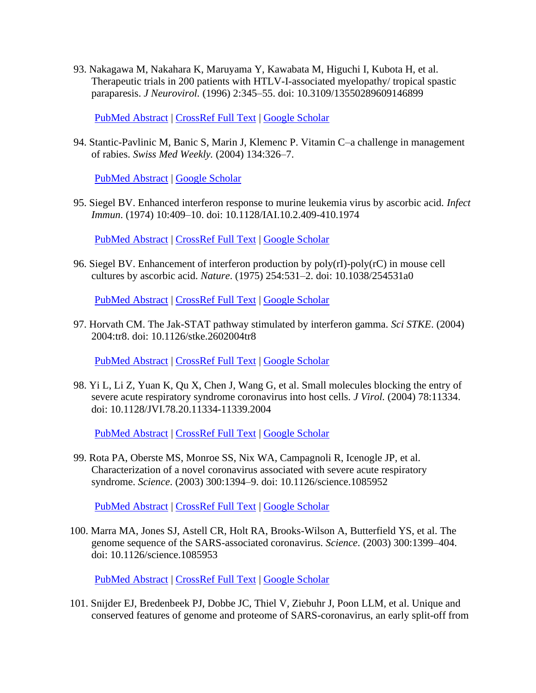93. Nakagawa M, Nakahara K, Maruyama Y, Kawabata M, Higuchi I, Kubota H, et al. Therapeutic trials in 200 patients with HTLV-I-associated myelopathy/ tropical spastic paraparesis. *J Neurovirol.* (1996) 2:345–55. doi: 10.3109/13550289609146899

[PubMed Abstract](http://www.ncbi.nlm.nih.gov/sites/entrez?Db=pubmed&Cmd=ShowDetailView&TermToSearch=8912211) | [CrossRef Full Text](https://doi.org/10.3109/13550289609146899) | [Google Scholar](http://scholar.google.com/scholar_lookup?author=M.+Nakagawa&author=K.+Nakahara&author=Y.+Maruyama&author=M.+Kawabata&author=I.+Higuchi&author=H.+Kubota+&publication_year=1996&title=Therapeutic+trials+in+200+patients+with+HTLV-I-associated+myelopathy%2F+tropical+spastic+paraparesis&journal=J+Neurovirol.&volume=2&pages=345-55)

94. Stantic-Pavlinic M, Banic S, Marin J, Klemenc P. Vitamin C–a challenge in management of rabies. *Swiss Med Weekly.* (2004) 134:326–7.

[PubMed Abstract](http://www.ncbi.nlm.nih.gov/sites/entrez?Db=pubmed&Cmd=ShowDetailView&TermToSearch=15243845) | [Google Scholar](http://scholar.google.com/scholar_lookup?author=M.+Stantic-Pavlinic&author=S.+Banic&author=J.+Marin&author=P.+Klemenc+&publication_year=2004&title=Vitamin+C–a+challenge+in+management+of+rabies&journal=Swiss+Med+Weekly.&volume=134&pages=326-7)

95. Siegel BV. Enhanced interferon response to murine leukemia virus by ascorbic acid. *Infect Immun*. (1974) 10:409–10. doi: 10.1128/IAI.10.2.409-410.1974

[PubMed Abstract](http://www.ncbi.nlm.nih.gov/sites/entrez?Db=pubmed&Cmd=ShowDetailView&TermToSearch=4368679) | [CrossRef Full Text](https://doi.org/10.1128/IAI.10.2.409-410.1974) | [Google Scholar](http://scholar.google.com/scholar_lookup?author=BV.+Siegel+&publication_year=1974&title=Enhanced+interferon+response+to+murine+leukemia+virus+by+ascorbic+acid&journal=Infect+Immun&volume=10&pages=409-10)

96. Siegel BV. Enhancement of interferon production by poly(rI)-poly(rC) in mouse cell cultures by ascorbic acid. *Nature*. (1975) 254:531–2. doi: 10.1038/254531a0

[PubMed Abstract](http://www.ncbi.nlm.nih.gov/sites/entrez?Db=pubmed&Cmd=ShowDetailView&TermToSearch=1121329) | [CrossRef Full Text](https://doi.org/10.1038/254531a0) | [Google Scholar](http://scholar.google.com/scholar_lookup?author=BV.+Siegel+&publication_year=1975&title=Enhancement+of+interferon+production+by+poly(rI)-poly(rC)+in+mouse+cell+cultures+by+ascorbic+acid&journal=Nature&volume=254&pages=531-2)

97. Horvath CM. The Jak-STAT pathway stimulated by interferon gamma. *Sci STKE*. (2004) 2004:tr8. doi: 10.1126/stke.2602004tr8

[PubMed Abstract](http://www.ncbi.nlm.nih.gov/sites/entrez?Db=pubmed&Cmd=ShowDetailView&TermToSearch=15561980) | [CrossRef Full Text](https://doi.org/10.1126/stke.2602004tr8) | [Google Scholar](http://scholar.google.com/scholar_lookup?author=CM.+Horvath+&publication_year=2004&title=The+Jak-STAT+pathway+stimulated+by+interferon+gamma&journal=Sci+STKE&volume=2004&pages=tr8)

98. Yi L, Li Z, Yuan K, Qu X, Chen J, Wang G, et al. Small molecules blocking the entry of severe acute respiratory syndrome coronavirus into host cells. *J Virol.* (2004) 78:11334. doi: 10.1128/JVI.78.20.11334-11339.2004

[PubMed Abstract](http://www.ncbi.nlm.nih.gov/sites/entrez?Db=pubmed&Cmd=ShowDetailView&TermToSearch=15452254) | [CrossRef Full Text](https://doi.org/10.1128/JVI.78.20.11334-11339.2004) | [Google Scholar](http://scholar.google.com/scholar_lookup?author=L.+Yi&author=Z.+Li&author=K.+Yuan&author=X.+Qu&author=J.+Chen&author=G.+Wang+&publication_year=2004&title=Small+molecules+blocking+the+entry+of+severe+acute+respiratory+syndrome+coronavirus+into+host+cells&journal=J+Virol.&volume=78&pages=11334)

99. Rota PA, Oberste MS, Monroe SS, Nix WA, Campagnoli R, Icenogle JP, et al. Characterization of a novel coronavirus associated with severe acute respiratory syndrome. *Science*. (2003) 300:1394–9. doi: 10.1126/science.1085952

[PubMed Abstract](http://www.ncbi.nlm.nih.gov/sites/entrez?Db=pubmed&Cmd=ShowDetailView&TermToSearch=12730500) | [CrossRef Full Text](https://doi.org/10.1126/science.1085952) | [Google Scholar](http://scholar.google.com/scholar_lookup?author=PA.+Rota&author=MS.+Oberste&author=SS.+Monroe&author=WA.+Nix&author=R.+Campagnoli&author=JP.+Icenogle+&publication_year=2003&title=Characterization+of+a+novel+coronavirus+associated+with+severe+acute+respiratory+syndrome&journal=Science&volume=300&pages=1394-9)

100. Marra MA, Jones SJ, Astell CR, Holt RA, Brooks-Wilson A, Butterfield YS, et al. The genome sequence of the SARS-associated coronavirus. *Science*. (2003) 300:1399–404. doi: 10.1126/science.1085953

[PubMed Abstract](http://www.ncbi.nlm.nih.gov/sites/entrez?Db=pubmed&Cmd=ShowDetailView&TermToSearch=12730501) | [CrossRef Full Text](https://doi.org/10.1126/science.1085953) | [Google Scholar](http://scholar.google.com/scholar_lookup?author=MA.+Marra&author=SJ.+Jones&author=CR.+Astell&author=RA.+Holt&author=A.+Brooks-Wilson&author=YS.+Butterfield+&publication_year=2003&title=The+genome+sequence+of+the+SARS-associated+coronavirus&journal=Science&volume=300&pages=1399-404)

101. Snijder EJ, Bredenbeek PJ, Dobbe JC, Thiel V, Ziebuhr J, Poon LLM, et al. Unique and conserved features of genome and proteome of SARS-coronavirus, an early split-off from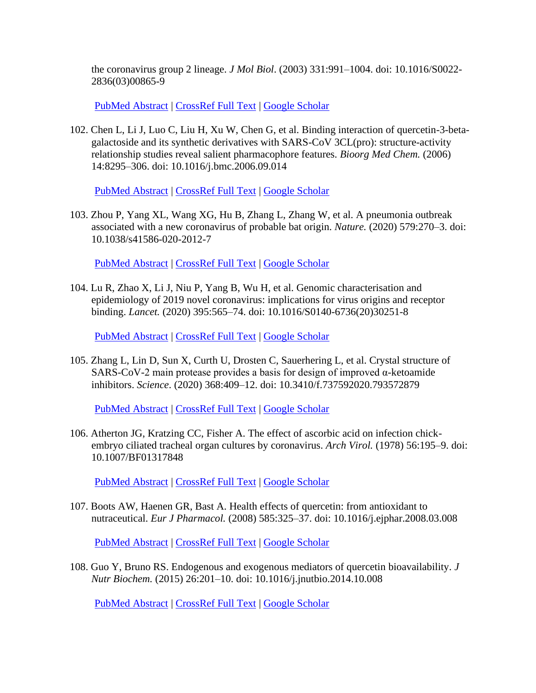the coronavirus group 2 lineage. *J Mol Biol*. (2003) 331:991–1004. doi: 10.1016/S0022- 2836(03)00865-9

[PubMed Abstract](http://www.ncbi.nlm.nih.gov/sites/entrez?Db=pubmed&Cmd=ShowDetailView&TermToSearch=12927536) | [CrossRef Full Text](https://doi.org/10.1016/S0022-2836(03)00865-9) | [Google Scholar](http://scholar.google.com/scholar_lookup?author=EJ.+Snijder&author=PJ.+Bredenbeek&author=JC.+Dobbe&author=V.+Thiel&author=J.+Ziebuhr&author=LLM.+Poon+&publication_year=2003&title=Unique+and+conserved+features+of+genome+and+proteome+of+SARS-coronavirus,+an+early+split-off+from+the+coronavirus+group+2+lineage&journal=J+Mol+Biol&volume=331&pages=991-1004)

102. Chen L, Li J, Luo C, Liu H, Xu W, Chen G, et al. Binding interaction of quercetin-3-betagalactoside and its synthetic derivatives with SARS-CoV 3CL(pro): structure-activity relationship studies reveal salient pharmacophore features. *Bioorg Med Chem.* (2006) 14:8295–306. doi: 10.1016/j.bmc.2006.09.014

[PubMed Abstract](http://www.ncbi.nlm.nih.gov/sites/entrez?Db=pubmed&Cmd=ShowDetailView&TermToSearch=17046271) | [CrossRef Full Text](https://doi.org/10.1016/j.bmc.2006.09.014) | [Google Scholar](http://scholar.google.com/scholar_lookup?author=L.+Chen&author=J.+Li&author=C.+Luo&author=H.+Liu&author=W.+Xu&author=G.+Chen+&publication_year=2006&title=Binding+interaction+of+quercetin-3-beta-galactoside+and+its+synthetic+derivatives+with+SARS-CoV+3CL(pro)%3A+structure-activity+relationship+studies+reveal+salient+pharmacophore+features&journal=Bioorg+Med+Chem.&volume=14&pages=8295-306)

103. Zhou P, Yang XL, Wang XG, Hu B, Zhang L, Zhang W, et al. A pneumonia outbreak associated with a new coronavirus of probable bat origin. *Nature.* (2020) 579:270–3. doi: 10.1038/s41586-020-2012-7

[PubMed Abstract](http://www.ncbi.nlm.nih.gov/sites/entrez?Db=pubmed&Cmd=ShowDetailView&TermToSearch=32015507) | [CrossRef Full Text](https://doi.org/10.1038/s41586-020-2012-7) | [Google Scholar](http://scholar.google.com/scholar_lookup?author=P.+Zhou&author=XL.+Yang&author=XG.+Wang&author=B.+Hu&author=L.+Zhang&author=W.+Zhang+&publication_year=2020&title=A+pneumonia+outbreak+associated+with+a+new+coronavirus+of+probable+bat+origin&journal=Nature.&volume=579&pages=270-3)

104. Lu R, Zhao X, Li J, Niu P, Yang B, Wu H, et al. Genomic characterisation and epidemiology of 2019 novel coronavirus: implications for virus origins and receptor binding. *Lancet.* (2020) 395:565–74. doi: 10.1016/S0140-6736(20)30251-8

[PubMed Abstract](http://www.ncbi.nlm.nih.gov/sites/entrez?Db=pubmed&Cmd=ShowDetailView&TermToSearch=32007145) | [CrossRef Full Text](https://doi.org/10.1016/S0140-6736(20)30251-8) | [Google Scholar](http://scholar.google.com/scholar_lookup?author=R.+Lu&author=X.+Zhao&author=J.+Li&author=P.+Niu&author=B.+Yang&author=H.+Wu+&publication_year=2020&title=Genomic+characterisation+and+epidemiology+of+2019+novel+coronavirus%3A+implications+for+virus+origins+and+receptor+binding&journal=Lancet.&volume=395&pages=565-74)

105. Zhang L, Lin D, Sun X, Curth U, Drosten C, Sauerhering L, et al. Crystal structure of SARS-CoV-2 main protease provides a basis for design of improved α-ketoamide inhibitors. *Science*. (2020) 368:409–12. doi: 10.3410/f.737592020.793572879

[PubMed Abstract](http://www.ncbi.nlm.nih.gov/sites/entrez?Db=pubmed&Cmd=ShowDetailView&TermToSearch=32198291) | [CrossRef Full Text](https://doi.org/10.3410/f.737592020.793572879) | [Google Scholar](http://scholar.google.com/scholar_lookup?author=L.+Zhang&author=D.+Lin&author=X.+Sun&author=U.+Curth&author=C.+Drosten&author=L.+Sauerhering+&publication_year=2020&title=Crystal+structure+of+SARS-CoV-2+main+protease+provides+a+basis+for+design+of+improved+α-ketoamide+inhibitors&journal=Science&volume=368&pages=409-12)

106. Atherton JG, Kratzing CC, Fisher A. The effect of ascorbic acid on infection chickembryo ciliated tracheal organ cultures by coronavirus. *Arch Virol.* (1978) 56:195–9. doi: 10.1007/BF01317848

[PubMed Abstract](http://www.ncbi.nlm.nih.gov/sites/entrez?Db=pubmed&Cmd=ShowDetailView&TermToSearch=205194) | [CrossRef Full](https://doi.org/10.1007/BF01317848) Text | [Google Scholar](http://scholar.google.com/scholar_lookup?author=JG.+Atherton&author=CC.+Kratzing&author=A.+Fisher+&publication_year=1978&title=The+effect+of+ascorbic+acid+on+infection+chick-embryo+ciliated+tracheal+organ+cultures+by+coronavirus&journal=Arch+Virol.&volume=56&pages=195-9)

107. Boots AW, Haenen GR, Bast A. Health effects of quercetin: from antioxidant to nutraceutical. *Eur J Pharmacol.* (2008) 585:325–37. doi: 10.1016/j.ejphar.2008.03.008

[PubMed Abstract](http://www.ncbi.nlm.nih.gov/sites/entrez?Db=pubmed&Cmd=ShowDetailView&TermToSearch=18417116) | [CrossRef Full Text](https://doi.org/10.1016/j.ejphar.2008.03.008) | [Google Scholar](http://scholar.google.com/scholar_lookup?author=AW.+Boots&author=GR.+Haenen&author=A.+Bast+&publication_year=2008&title=Health+effects+of+quercetin%3A+from+antioxidant+to+nutraceutical&journal=Eur+J+Pharmacol.&volume=585&pages=325-37)

108. Guo Y, Bruno RS. Endogenous and exogenous mediators of quercetin bioavailability. *J Nutr Biochem.* (2015) 26:201–10. doi: 10.1016/j.jnutbio.2014.10.008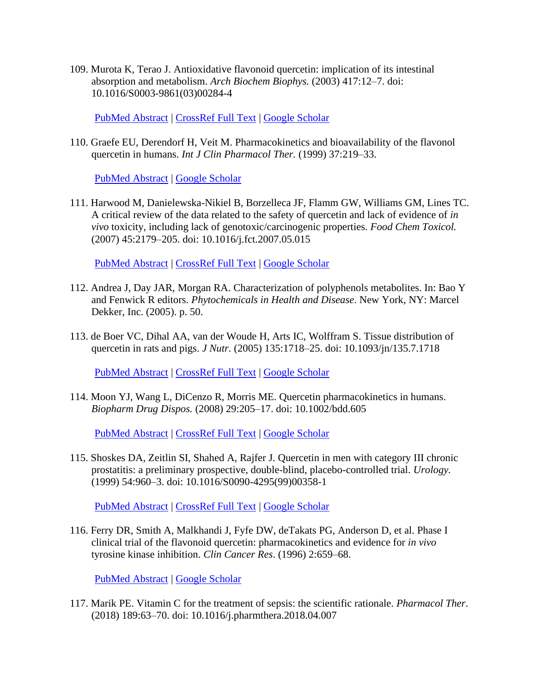109. Murota K, Terao J. Antioxidative flavonoid quercetin: implication of its intestinal absorption and metabolism. *Arch Biochem Biophys.* (2003) 417:12–7. doi: 10.1016/S0003-9861(03)00284-4

[PubMed Abstract](http://www.ncbi.nlm.nih.gov/sites/entrez?Db=pubmed&Cmd=ShowDetailView&TermToSearch=12921774) | [CrossRef Full Text](https://doi.org/10.1016/S0003-9861(03)00284-4) | [Google Scholar](http://scholar.google.com/scholar_lookup?author=K.+Murota&author=J.+Terao+&publication_year=2003&title=Antioxidative+flavonoid+quercetin%3A+implication+of+its+intestinal+absorption+and+metabolism&journal=Arch+Biochem+Biophys.&volume=417&pages=12-7)

110. Graefe EU, Derendorf H, Veit M. Pharmacokinetics and bioavailability of the flavonol quercetin in humans. *Int J Clin Pharmacol Ther.* (1999) 37:219–33.

[PubMed Abstract](http://www.ncbi.nlm.nih.gov/sites/entrez?Db=pubmed&Cmd=ShowDetailView&TermToSearch=10363620) | [Google Scholar](http://scholar.google.com/scholar_lookup?author=EU.+Graefe&author=H.+Derendorf&author=M.+Veit+&publication_year=1999&title=Pharmacokinetics+and+bioavailability+of+the+flavonol+quercetin+in+humans&journal=Int+J+Clin+Pharmacol+Ther.&volume=37&pages=219-33)

111. Harwood M, Danielewska-Nikiel B, Borzelleca JF, Flamm GW, Williams GM, Lines TC. A critical review of the data related to the safety of quercetin and lack of evidence of *in vivo* toxicity, including lack of genotoxic/carcinogenic properties. *Food Chem Toxicol.* (2007) 45:2179–205. doi: 10.1016/j.fct.2007.05.015

[PubMed Abstract](http://www.ncbi.nlm.nih.gov/sites/entrez?Db=pubmed&Cmd=ShowDetailView&TermToSearch=17698276) | [CrossRef Full Text](https://doi.org/10.1016/j.fct.2007.05.015) | [Google](http://scholar.google.com/scholar_lookup?author=M.+Harwood&author=B.+Danielewska-Nikiel&author=JF.+Borzelleca&author=GW.+Flamm&author=GM.+Williams&author=TC.+Lines+&publication_year=2007&title=A+critical+review+of+the+data+related+to+the+safety+of+quercetin+and+lack+of+evidence+of+in+vivo+toxicity,+including+lack+of+genotoxic%2Fcarcinogenic+properties&journal=Food+Chem+Toxicol.&volume=45&pages=2179-205) Scholar

- 112. Andrea J, Day JAR, Morgan RA. Characterization of polyphenols metabolites. In: Bao Y and Fenwick R editors. *Phytochemicals in Health and Disease*. New York, NY: Marcel Dekker, Inc. (2005). p. 50.
- 113. de Boer VC, Dihal AA, van der Woude H, Arts IC, Wolffram S. Tissue distribution of quercetin in rats and pigs. *J Nutr.* (2005) 135:1718–25. doi: 10.1093/jn/135.7.1718

[PubMed Abstract](http://www.ncbi.nlm.nih.gov/sites/entrez?Db=pubmed&Cmd=ShowDetailView&TermToSearch=15987855) | [CrossRef Full Text](https://doi.org/10.1093/jn/135.7.1718) | [Google Scholar](http://scholar.google.com/scholar_lookup?author=VC.+de+Boer&author=AA.+Dihal&author=H.+van+der+Woude&author=IC.+Arts&author=S.+Wolffram+&publication_year=2005&title=Tissue+distribution+of+quercetin+in+rats+and+pigs&journal=J+Nutr.&volume=135&pages=1718-25)

114. Moon YJ, Wang L, DiCenzo R, Morris ME. Quercetin pharmacokinetics in humans. *Biopharm Drug Dispos.* (2008) 29:205–17. doi: 10.1002/bdd.605

[PubMed Abstract](http://www.ncbi.nlm.nih.gov/sites/entrez?Db=pubmed&Cmd=ShowDetailView&TermToSearch=18241083) | [CrossRef Full Text](https://doi.org/10.1002/bdd.605) | [Google Scholar](http://scholar.google.com/scholar_lookup?author=YJ.+Moon&author=L.+Wang&author=R.+DiCenzo&author=ME.+Morris+&publication_year=2008&title=Quercetin+pharmacokinetics+in+humans&journal=Biopharm+Drug+Dispos.&volume=29&pages=205-17)

115. Shoskes DA, Zeitlin SI, Shahed A, Rajfer J. Quercetin in men with category III chronic prostatitis: a preliminary prospective, double-blind, placebo-controlled trial. *Urology.* (1999) 54:960–3. doi: 10.1016/S0090-4295(99)00358-1

[PubMed Abstract](http://www.ncbi.nlm.nih.gov/sites/entrez?Db=pubmed&Cmd=ShowDetailView&TermToSearch=10604689) | [CrossRef Full Text](https://doi.org/10.1016/S0090-4295(99)00358-1) | [Google Scholar](http://scholar.google.com/scholar_lookup?author=DA.+Shoskes&author=SI.+Zeitlin&author=A.+Shahed&author=J.+Rajfer+&publication_year=1999&title=Quercetin+in+men+with+category+III+chronic+prostatitis%3A+a+preliminary+prospective,+double-blind,+placebo-controlled+trial&journal=Urology.&volume=54&pages=960-3)

116. Ferry DR, Smith A, Malkhandi J, Fyfe DW, deTakats PG, Anderson D, et al. Phase I clinical trial of the flavonoid quercetin: pharmacokinetics and evidence for *in vivo* tyrosine kinase inhibition. *Clin Cancer Res*. (1996) 2:659–68.

[PubMed Abstract](http://www.ncbi.nlm.nih.gov/sites/entrez?Db=pubmed&Cmd=ShowDetailView&TermToSearch=9816216) | [Google Scholar](http://scholar.google.com/scholar_lookup?author=DR.+Ferry&author=A.+Smith&author=J.+Malkhandi&author=DW.+Fyfe&author=PG.+deTakats&author=D.+Anderson+&publication_year=1996&title=Phase+I+clinical+trial+of+the+flavonoid+quercetin%3A+pharmacokinetics+and+evidence+for+in+vivo+tyrosine+kinase+inhibition&journal=Clin+Cancer+Res&volume=2&pages=659-68)

117. Marik PE. Vitamin C for the treatment of sepsis: the scientific rationale. *Pharmacol Ther*. (2018) 189:63–70. doi: 10.1016/j.pharmthera.2018.04.007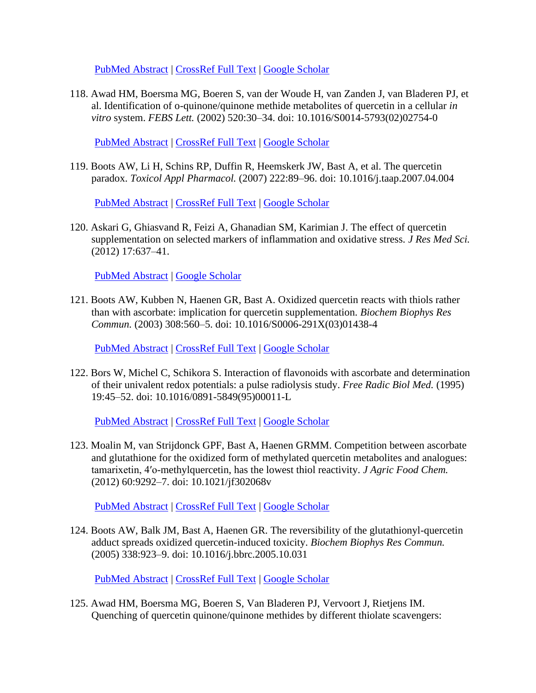[PubMed Abstract](http://www.ncbi.nlm.nih.gov/sites/entrez?Db=pubmed&Cmd=ShowDetailView&TermToSearch=29684467) | [CrossRef Full Text](https://doi.org/10.1016/j.pharmthera.2018.04.007) | [Google Scholar](http://scholar.google.com/scholar_lookup?author=PE.+Marik+&publication_year=2018&title=Vitamin+C+for+the+treatment+of+sepsis%3A+the+scientific+rationale&journal=Pharmacol+Ther&volume=189&pages=63-70)

118. Awad HM, Boersma MG, Boeren S, van der Woude H, van Zanden J, van Bladeren PJ, et al. Identification of o-quinone/quinone methide metabolites of quercetin in a cellular *in vitro* system. *FEBS Lett.* (2002) 520:30–34. doi: 10.1016/S0014-5793(02)02754-0

[PubMed Abstract](http://www.ncbi.nlm.nih.gov/sites/entrez?Db=pubmed&Cmd=ShowDetailView&TermToSearch=12044865) | [CrossRef Full Text](https://doi.org/10.1016/S0014-5793(02)02754-0) | [Google Scholar](http://scholar.google.com/scholar_lookup?author=HM.+Awad&author=MG.+Boersma&author=S.+Boeren&author=H.+van+der+Woude&author=J.+van+Zanden&author=PJ.+van+Bladeren+&publication_year=2002&title=Identification+of+o-quinone%2Fquinone+methide+metabolites+of+quercetin+in+a+cellular+in+vitro+system&journal=FEBS+Lett.&volume=520&pages=30-34)

119. Boots AW, Li H, Schins RP, Duffin R, Heemskerk JW, Bast A, et al. The quercetin paradox. *Toxicol Appl Pharmacol.* (2007) 222:89–96. doi: 10.1016/j.taap.2007.04.004

[PubMed Abstract](http://www.ncbi.nlm.nih.gov/sites/entrez?Db=pubmed&Cmd=ShowDetailView&TermToSearch=17537471) | [CrossRef Full Text](https://doi.org/10.1016/j.taap.2007.04.004) | [Google Scholar](http://scholar.google.com/scholar_lookup?author=AW.+Boots&author=H.+Li&author=RP.+Schins&author=R.+Duffin&author=JW.+Heemskerk&author=A.+Bast+&publication_year=2007&title=The+quercetin+paradox&journal=Toxicol+Appl+Pharmacol.&volume=222&pages=89-96)

120. Askari G, Ghiasvand R, Feizi A, Ghanadian SM, Karimian J. The effect of quercetin supplementation on selected markers of inflammation and oxidative stress. *J Res Med Sci.* (2012) 17:637–41.

[PubMed Abstract](http://www.ncbi.nlm.nih.gov/sites/entrez?Db=pubmed&Cmd=ShowDetailView&TermToSearch=23798923) | [Google Scholar](http://scholar.google.com/scholar_lookup?author=G.+Askari&author=R.+Ghiasvand&author=A.+Feizi&author=SM.+Ghanadian&author=J.+Karimian+&publication_year=2012&title=The+effect+of+quercetin+supplementation+on+selected+markers+of+inflammation+and+oxidative+stress&journal=J+Res+Med+Sci.&volume=17&pages=637-41)

121. Boots AW, Kubben N, Haenen GR, Bast A. Oxidized quercetin reacts with thiols rather than with ascorbate: implication for quercetin supplementation. *Biochem Biophys Res Commun.* (2003) 308:560–5. doi: 10.1016/S0006-291X(03)01438-4

[PubMed Abstract](http://www.ncbi.nlm.nih.gov/sites/entrez?Db=pubmed&Cmd=ShowDetailView&TermToSearch=12914787) | [CrossRef Full Text](https://doi.org/10.1016/S0006-291X(03)01438-4) | [Google Scholar](http://scholar.google.com/scholar_lookup?author=AW.+Boots&author=N.+Kubben&author=GR.+Haenen&author=A.+Bast+&publication_year=2003&title=Oxidized+quercetin+reacts+with+thiols+rather+than+with+ascorbate%3A+implication+for+quercetin+supplementation&journal=Biochem+Biophys+Res+Commun.&volume=308&pages=560-5)

122. Bors W, Michel C, Schikora S. Interaction of flavonoids with ascorbate and determination of their univalent redox potentials: a pulse radiolysis study. *Free Radic Biol Med.* (1995) 19:45–52. doi: 10.1016/0891-5849(95)00011-L

[PubMed Abstract](http://www.ncbi.nlm.nih.gov/sites/entrez?Db=pubmed&Cmd=ShowDetailView&TermToSearch=7635358) | [CrossRef Full Text](https://doi.org/10.1016/0891-5849(95)00011-L) | [Google Scholar](http://scholar.google.com/scholar_lookup?author=W.+Bors&author=C.+Michel&author=S.+Schikora+&publication_year=1995&title=Interaction+of+flavonoids+with+ascorbate+and+determination+of+their+univalent+redox+potentials%3A+a+pulse+radiolysis+study&journal=Free+Radic+Biol+Med.&volume=19&pages=45-52)

123. Moalin M, van Strijdonck GPF, Bast A, Haenen GRMM. Competition between ascorbate and glutathione for the oxidized form of methylated quercetin metabolites and analogues: tamarixetin, 4′o-methylquercetin, has the lowest thiol reactivity. *J Agric Food Chem.* (2012) 60:9292–7. doi: 10.1021/jf302068v

[PubMed Abstract](http://www.ncbi.nlm.nih.gov/sites/entrez?Db=pubmed&Cmd=ShowDetailView&TermToSearch=22860763) | [CrossRef Full Text](https://doi.org/10.1021/jf302068v) | [Google Scholar](http://scholar.google.com/scholar_lookup?author=M.+Moalin&author=GPF.+van+Strijdonck&author=A.+Bast&author=GRMM.+Haenen+&publication_year=2012&title=Competition+between+ascorbate+and+glutathione+for+the+oxidized+form+of+methylated+quercetin+metabolites+and+analogues%3A+tamarixetin,+4′o-methylquercetin,+has+the+lowest+thiol+reactivity&journal=J+Agric+Food+Chem.&volume=60&pages=9292-7)

124. Boots AW, Balk JM, Bast A, Haenen GR. The reversibility of the glutathionyl-quercetin adduct spreads oxidized quercetin-induced toxicity. *Biochem Biophys Res Commun.* (2005) 338:923–9. doi: 10.1016/j.bbrc.2005.10.031

[PubMed Abstract](http://www.ncbi.nlm.nih.gov/sites/entrez?Db=pubmed&Cmd=ShowDetailView&TermToSearch=16246300) | [CrossRef Full Text](https://doi.org/10.1016/j.bbrc.2005.10.031) | [Google Scholar](http://scholar.google.com/scholar_lookup?author=AW.+Boots&author=JM.+Balk&author=A.+Bast&author=GR.+Haenen+&publication_year=2005&title=The+reversibility+of+the+glutathionyl-quercetin+adduct+spreads+oxidized+quercetin-induced+toxicity&journal=Biochem+Biophys+Res+Commun.&volume=338&pages=923-9)

125. Awad HM, Boersma MG, Boeren S, Van Bladeren PJ, Vervoort J, Rietjens IM. Quenching of quercetin quinone/quinone methides by different thiolate scavengers: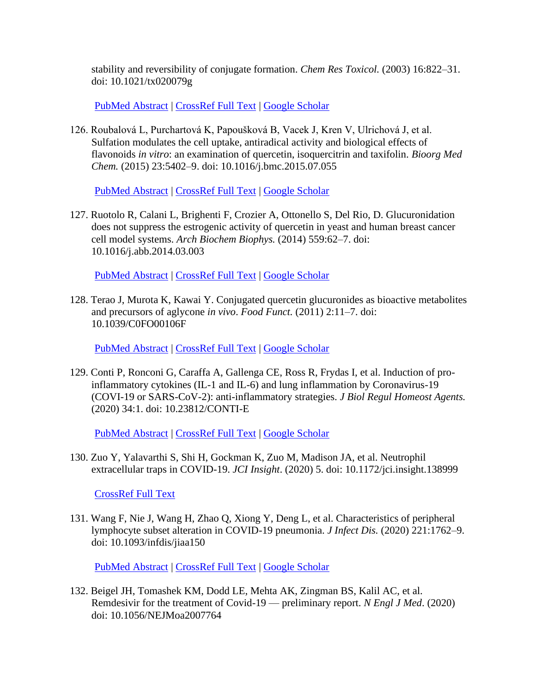stability and reversibility of conjugate formation. *Chem Res Toxicol.* (2003) 16:822–31. doi: 10.1021/tx020079g

[PubMed Abstract](http://www.ncbi.nlm.nih.gov/sites/entrez?Db=pubmed&Cmd=ShowDetailView&TermToSearch=12870884) | [CrossRef Full Text](https://doi.org/10.1021/tx020079g) | [Google Scholar](http://scholar.google.com/scholar_lookup?author=HM.+Awad&author=MG.+Boersma&author=S.+Boeren&author=PJ.+Van+Bladeren&author=J.+Vervoort&author=IM.+Rietjens+&publication_year=2003&title=Quenching+of+quercetin+quinone%2Fquinone+methides+by+different+thiolate+scavengers%3A+stability+and+reversibility+of+conjugate+formation&journal=Chem+Res+Toxicol.&volume=16&pages=822-31)

126. Roubalová L, Purchartová K, Papoušková B, Vacek J, Kren V, Ulrichová J, et al. Sulfation modulates the cell uptake, antiradical activity and biological effects of flavonoids *in vitro*: an examination of quercetin, isoquercitrin and taxifolin. *Bioorg Med Chem.* (2015) 23:5402–9. doi: 10.1016/j.bmc.2015.07.055

[PubMed Abstract](http://www.ncbi.nlm.nih.gov/sites/entrez?Db=pubmed&Cmd=ShowDetailView&TermToSearch=26260337) | [CrossRef Full Text](https://doi.org/10.1016/j.bmc.2015.07.055) | [Google Scholar](http://scholar.google.com/scholar_lookup?author=L.+Roubalová&author=K.+Purchartová&author=B.+Papoušková&author=J.+Vacek&author=V.+Kren&author=J.+Ulrichová+&publication_year=2015&title=Sulfation+modulates+the+cell+uptake,+antiradical+activity+and+biological+effects+of+flavonoids+in+vitro%3A+an+examination+of+quercetin,+isoquercitrin+and+taxifolin&journal=Bioorg+Med+Chem.&volume=23&pages=5402-9)

127. Ruotolo R, Calani L, Brighenti F, Crozier A, Ottonello S, Del Rio, D. Glucuronidation does not suppress the estrogenic activity of quercetin in yeast and human breast cancer cell model systems. *Arch Biochem Biophys.* (2014) 559:62–7. doi: 10.1016/j.abb.2014.03.003

[PubMed Abstract](http://www.ncbi.nlm.nih.gov/sites/entrez?Db=pubmed&Cmd=ShowDetailView&TermToSearch=24657077) | [CrossRef](https://doi.org/10.1016/j.abb.2014.03.003) Full Text | [Google Scholar](http://scholar.google.com/scholar_lookup?author=R.+Ruotolo&author=L.+Calani&author=F.+Brighenti&author=A.+Crozier&author=S.+Ottonello&author=D.+Del+Rio+&publication_year=2014&title=Glucuronidation+does+not+suppress+the+estrogenic+activity+of+quercetin+in+yeast+and+human+breast+cancer+cell+model+systems&journal=Arch+Biochem+Biophys.&volume=559&pages=62-7)

128. Terao J, Murota K, Kawai Y. Conjugated quercetin glucuronides as bioactive metabolites and precursors of aglycone *in vivo*. *Food Funct.* (2011) 2:11–7. doi: 10.1039/C0FO00106F

[PubMed Abstract](http://www.ncbi.nlm.nih.gov/sites/entrez?Db=pubmed&Cmd=ShowDetailView&TermToSearch=21773581) | [CrossRef Full Text](https://doi.org/10.1039/C0FO00106F) | [Google Scholar](http://scholar.google.com/scholar_lookup?author=J.+Terao&author=K.+Murota&author=Y.+Kawai+&publication_year=2011&title=Conjugated+quercetin+glucuronides+as+bioactive+metabolites+and+precursors+of+aglycone+in+vivo&journal=Food+Funct.&volume=2&pages=11-7)

129. Conti P, Ronconi G, Caraffa A, Gallenga CE, Ross R, Frydas I, et al. Induction of proinflammatory cytokines (IL-1 and IL-6) and lung inflammation by Coronavirus-19 (COVI-19 or SARS-CoV-2): anti-inflammatory strategies. *J Biol Regul Homeost Agents.* (2020) 34:1. doi: 10.23812/CONTI-E

[PubMed Abstract](http://www.ncbi.nlm.nih.gov/sites/entrez?Db=pubmed&Cmd=ShowDetailView&TermToSearch=32171193) | [CrossRef Full Text](https://doi.org/10.23812/CONTI-E) | [Google Scholar](http://scholar.google.com/scholar_lookup?author=P.+Conti&author=G.+Ronconi&author=A.+Caraffa&author=CE.+Gallenga&author=R.+Ross&author=I.+Frydas+&publication_year=2020&title=Induction+of+pro-inflammatory+cytokines+(IL-1+and+IL-6)+and+lung+inflammation+by+Coronavirus-19+(COVI-19+or+SARS-CoV-2)%3A+anti-inflammatory+strategies&journal=J+Biol+Regul+Homeost+Agents.&volume=34&pages=1)

130. Zuo Y, Yalavarthi S, Shi H, Gockman K, Zuo M, Madison JA, et al. Neutrophil extracellular traps in COVID-19. *JCI Insight*. (2020) 5. doi: 10.1172/jci.insight.138999

[CrossRef Full Text](https://doi.org/10.1172/jci.insight.138999)

131. Wang F, Nie J, Wang H, Zhao Q, Xiong Y, Deng L, et al. Characteristics of peripheral lymphocyte subset alteration in COVID-19 pneumonia. *J Infect Dis.* (2020) 221:1762–9. doi: 10.1093/infdis/jiaa150

[PubMed Abstract](http://www.ncbi.nlm.nih.gov/sites/entrez?Db=pubmed&Cmd=ShowDetailView&TermToSearch=32227123) | [CrossRef Full Text](https://doi.org/10.1093/infdis/jiaa150) | [Google Scholar](http://scholar.google.com/scholar_lookup?author=F.+Wang&author=J.+Nie&author=H.+Wang&author=Q.+Zhao&author=Y.+Xiong&author=L.+Deng+&publication_year=2020&title=Characteristics+of+peripheral+lymphocyte+subset+alteration+in+COVID-19+pneumonia&journal=J+Infect+Dis.&volume=221&pages=1762-9)

132. Beigel JH, Tomashek KM, Dodd LE, Mehta AK, Zingman BS, Kalil AC, et al. Remdesivir for the treatment of Covid-19 — preliminary report. *N Engl J Med*. (2020) doi: 10.1056/NEJMoa2007764